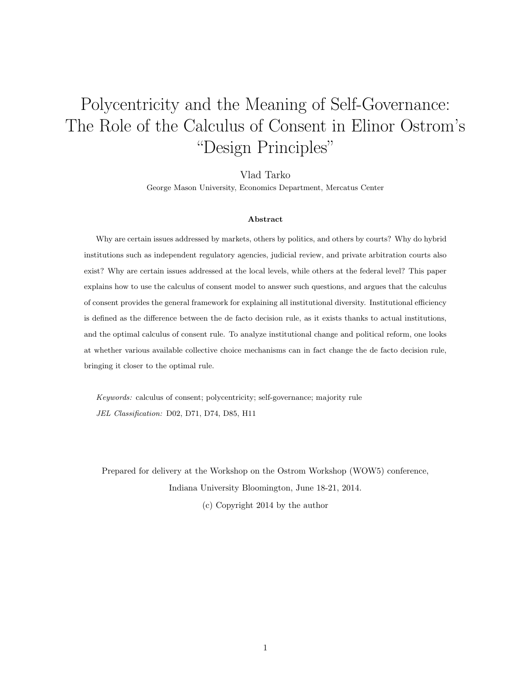# Polycentricity and the Meaning of Self-Governance: The Role of the Calculus of Consent in Elinor Ostrom's "Design Principles"

Vlad Tarko

George Mason University, Economics Department, Mercatus Center

#### Abstract

Why are certain issues addressed by markets, others by politics, and others by courts? Why do hybrid institutions such as independent regulatory agencies, judicial review, and private arbitration courts also exist? Why are certain issues addressed at the local levels, while others at the federal level? This paper explains how to use the calculus of consent model to answer such questions, and argues that the calculus of consent provides the general framework for explaining all institutional diversity. Institutional efficiency is defined as the difference between the de facto decision rule, as it exists thanks to actual institutions, and the optimal calculus of consent rule. To analyze institutional change and political reform, one looks at whether various available collective choice mechanisms can in fact change the de facto decision rule, bringing it closer to the optimal rule.

Keywords: calculus of consent; polycentricity; self-governance; majority rule JEL Classification: D02, D71, D74, D85, H11

Prepared for delivery at the Workshop on the Ostrom Workshop (WOW5) conference, Indiana University Bloomington, June 18-21, 2014.

(c) Copyright 2014 by the author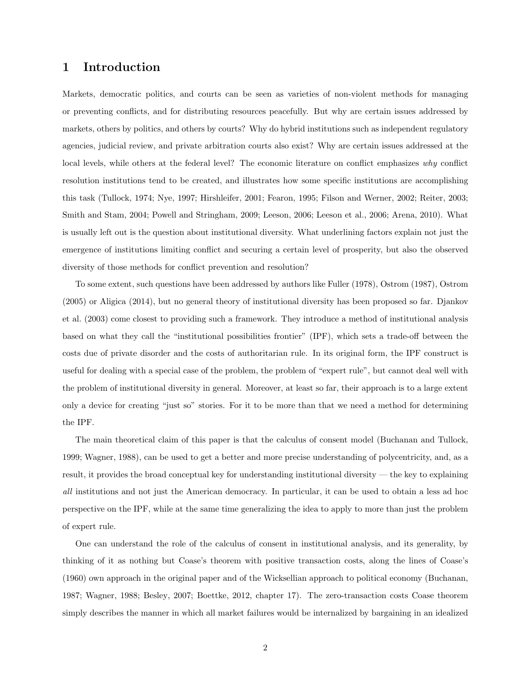# 1 Introduction

Markets, democratic politics, and courts can be seen as varieties of non-violent methods for managing or preventing conflicts, and for distributing resources peacefully. But why are certain issues addressed by markets, others by politics, and others by courts? Why do hybrid institutions such as independent regulatory agencies, judicial review, and private arbitration courts also exist? Why are certain issues addressed at the local levels, while others at the federal level? The economic literature on conflict emphasizes why conflict resolution institutions tend to be created, and illustrates how some specific institutions are accomplishing this task (Tullock, 1974; Nye, 1997; Hirshleifer, 2001; Fearon, 1995; Filson and Werner, 2002; Reiter, 2003; Smith and Stam, 2004; Powell and Stringham, 2009; Leeson, 2006; Leeson et al., 2006; Arena, 2010). What is usually left out is the question about institutional diversity. What underlining factors explain not just the emergence of institutions limiting conflict and securing a certain level of prosperity, but also the observed diversity of those methods for conflict prevention and resolution?

To some extent, such questions have been addressed by authors like Fuller (1978), Ostrom (1987), Ostrom (2005) or Aligica (2014), but no general theory of institutional diversity has been proposed so far. Djankov et al. (2003) come closest to providing such a framework. They introduce a method of institutional analysis based on what they call the "institutional possibilities frontier" (IPF), which sets a trade-off between the costs due of private disorder and the costs of authoritarian rule. In its original form, the IPF construct is useful for dealing with a special case of the problem, the problem of "expert rule", but cannot deal well with the problem of institutional diversity in general. Moreover, at least so far, their approach is to a large extent only a device for creating "just so" stories. For it to be more than that we need a method for determining the IPF.

The main theoretical claim of this paper is that the calculus of consent model (Buchanan and Tullock, 1999; Wagner, 1988), can be used to get a better and more precise understanding of polycentricity, and, as a result, it provides the broad conceptual key for understanding institutional diversity — the key to explaining all institutions and not just the American democracy. In particular, it can be used to obtain a less ad hoc perspective on the IPF, while at the same time generalizing the idea to apply to more than just the problem of expert rule.

One can understand the role of the calculus of consent in institutional analysis, and its generality, by thinking of it as nothing but Coase's theorem with positive transaction costs, along the lines of Coase's (1960) own approach in the original paper and of the Wicksellian approach to political economy (Buchanan, 1987; Wagner, 1988; Besley, 2007; Boettke, 2012, chapter 17). The zero-transaction costs Coase theorem simply describes the manner in which all market failures would be internalized by bargaining in an idealized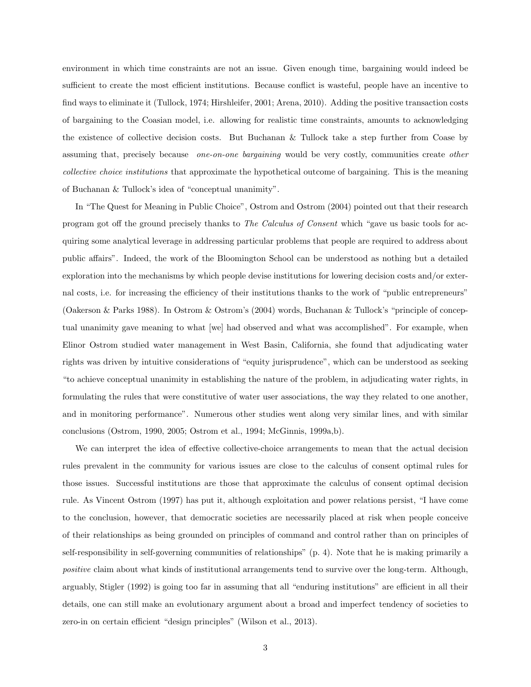environment in which time constraints are not an issue. Given enough time, bargaining would indeed be sufficient to create the most efficient institutions. Because conflict is wasteful, people have an incentive to find ways to eliminate it (Tullock, 1974; Hirshleifer, 2001; Arena, 2010). Adding the positive transaction costs of bargaining to the Coasian model, i.e. allowing for realistic time constraints, amounts to acknowledging the existence of collective decision costs. But Buchanan & Tullock take a step further from Coase by assuming that, precisely because one-on-one bargaining would be very costly, communities create other collective choice institutions that approximate the hypothetical outcome of bargaining. This is the meaning of Buchanan & Tullock's idea of "conceptual unanimity".

In "The Quest for Meaning in Public Choice", Ostrom and Ostrom (2004) pointed out that their research program got off the ground precisely thanks to The Calculus of Consent which "gave us basic tools for acquiring some analytical leverage in addressing particular problems that people are required to address about public affairs". Indeed, the work of the Bloomington School can be understood as nothing but a detailed exploration into the mechanisms by which people devise institutions for lowering decision costs and/or external costs, i.e. for increasing the efficiency of their institutions thanks to the work of "public entrepreneurs" (Oakerson & Parks 1988). In Ostrom & Ostrom's (2004) words, Buchanan & Tullock's "principle of conceptual unanimity gave meaning to what [we] had observed and what was accomplished". For example, when Elinor Ostrom studied water management in West Basin, California, she found that adjudicating water rights was driven by intuitive considerations of "equity jurisprudence", which can be understood as seeking "to achieve conceptual unanimity in establishing the nature of the problem, in adjudicating water rights, in formulating the rules that were constitutive of water user associations, the way they related to one another, and in monitoring performance". Numerous other studies went along very similar lines, and with similar conclusions (Ostrom, 1990, 2005; Ostrom et al., 1994; McGinnis, 1999a,b).

We can interpret the idea of effective collective-choice arrangements to mean that the actual decision rules prevalent in the community for various issues are close to the calculus of consent optimal rules for those issues. Successful institutions are those that approximate the calculus of consent optimal decision rule. As Vincent Ostrom (1997) has put it, although exploitation and power relations persist, "I have come to the conclusion, however, that democratic societies are necessarily placed at risk when people conceive of their relationships as being grounded on principles of command and control rather than on principles of self-responsibility in self-governing communities of relationships" (p. 4). Note that he is making primarily a positive claim about what kinds of institutional arrangements tend to survive over the long-term. Although, arguably, Stigler (1992) is going too far in assuming that all "enduring institutions" are efficient in all their details, one can still make an evolutionary argument about a broad and imperfect tendency of societies to zero-in on certain efficient "design principles" (Wilson et al., 2013).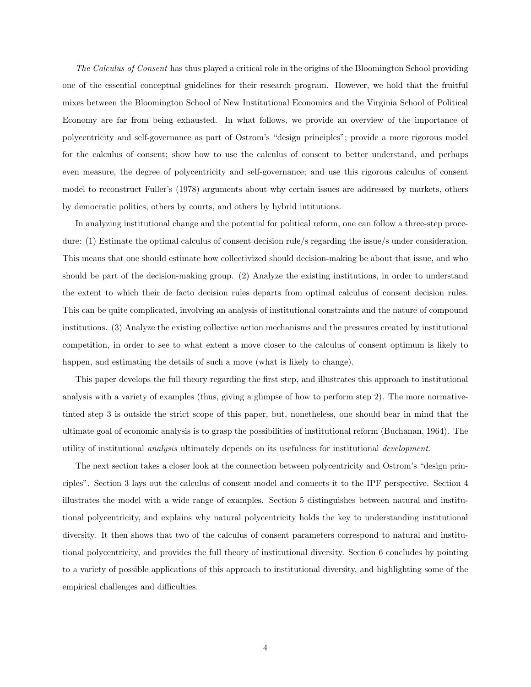The Calculus of Consent has thus played a critical role in the origins of the Bloomington School providing one of the essential conceptual guidelines for their research program. However, we hold that the fruitful mixes between the Bloomington School of New Institutional Economics and the Virginia School of Political Economy are far from being exhausted. In what follows, we provide an overview of the importance of polycentricity and self-governance as part of Ostrom's "design principles"; provide a more rigorous model for the calculus of consent; show how to use the calculus of consent to better understand, and perhaps even measure, the degree of polycentricity and self-governance; and use this rigorous calculus of consent model to reconstruct Fuller's (1978) arguments about why certain issues are addressed by markets, others by democratic politics, others by courts, and others by hybrid intitutions.

In analyzing institutional change and the potential for political reform, one can follow a three-step procedure: (1) Estimate the optimal calculus of consent decision rule/s regarding the issue/s under consideration. This means that one should estimate how collectivized should decision-making be about that issue, and who should be part of the decision-making group. (2) Analyze the existing institutions, in order to understand the extent to which their de facto decision rules departs from optimal calculus of consent decision rules. This can be quite complicated, involving an analysis of institutional constraints and the nature of compound institutions. (3) Analyze the existing collective action mechanisms and the pressures created by institutional competition, in order to see to what extent a move closer to the calculus of consent optimum is likely to happen, and estimating the details of such a move (what is likely to change).

This paper develops the full theory regarding the first step, and illustrates this approach to institutional analysis with a variety of examples (thus, giving a glimpse of how to perform step 2). The more normativetinted step 3 is outside the strict scope of this paper, but, nonetheless, one should bear in mind that the ultimate goal of economic analysis is to grasp the possibilities of institutional reform (Buchanan, 1964). The utility of institutional analysis ultimately depends on its usefulness for institutional development.

The next section takes a closer look at the connection between polycentricity and Ostrom's "design principles". Section 3 lays out the calculus of consent model and connects it to the IPF perspective. Section 4 illustrates the model with a wide range of examples. Section 5 distinguishes between natural and institutional polycentricity, and explains why natural polycentricity holds the key to understanding institutional diversity. It then shows that two of the calculus of consent parameters correspond to natural and institutional polycentricity, and provides the full theory of institutional diversity. Section 6 concludes by pointing to a variety of possible applications of this approach to institutional diversity, and highlighting some of the empirical challenges and difficulties.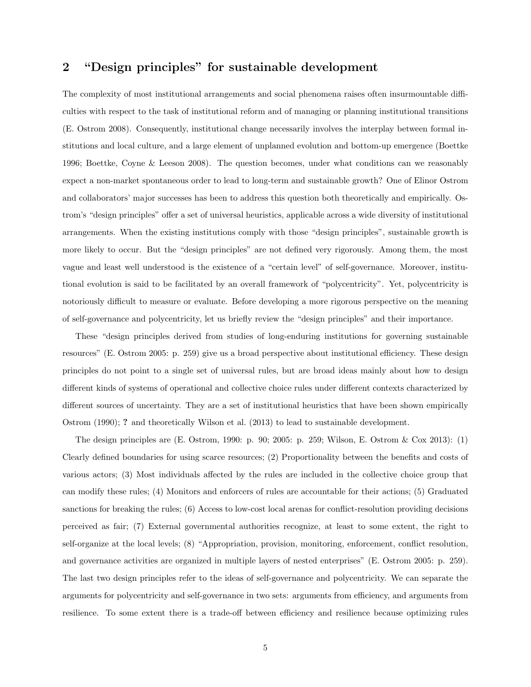# 2 "Design principles" for sustainable development

The complexity of most institutional arrangements and social phenomena raises often insurmountable difficulties with respect to the task of institutional reform and of managing or planning institutional transitions (E. Ostrom 2008). Consequently, institutional change necessarily involves the interplay between formal institutions and local culture, and a large element of unplanned evolution and bottom-up emergence (Boettke 1996; Boettke, Coyne & Leeson 2008). The question becomes, under what conditions can we reasonably expect a non-market spontaneous order to lead to long-term and sustainable growth? One of Elinor Ostrom and collaborators' major successes has been to address this question both theoretically and empirically. Ostrom's "design principles" offer a set of universal heuristics, applicable across a wide diversity of institutional arrangements. When the existing institutions comply with those "design principles", sustainable growth is more likely to occur. But the "design principles" are not defined very rigorously. Among them, the most vague and least well understood is the existence of a "certain level" of self-governance. Moreover, institutional evolution is said to be facilitated by an overall framework of "polycentricity". Yet, polycentricity is notoriously difficult to measure or evaluate. Before developing a more rigorous perspective on the meaning of self-governance and polycentricity, let us briefly review the "design principles" and their importance.

These "design principles derived from studies of long-enduring institutions for governing sustainable resources" (E. Ostrom 2005: p. 259) give us a broad perspective about institutional efficiency. These design principles do not point to a single set of universal rules, but are broad ideas mainly about how to design different kinds of systems of operational and collective choice rules under different contexts characterized by different sources of uncertainty. They are a set of institutional heuristics that have been shown empirically Ostrom (1990); ? and theoretically Wilson et al. (2013) to lead to sustainable development.

The design principles are (E. Ostrom, 1990: p. 90; 2005: p. 259; Wilson, E. Ostrom & Cox 2013): (1) Clearly defined boundaries for using scarce resources; (2) Proportionality between the benefits and costs of various actors; (3) Most individuals affected by the rules are included in the collective choice group that can modify these rules; (4) Monitors and enforcers of rules are accountable for their actions; (5) Graduated sanctions for breaking the rules; (6) Access to low-cost local arenas for conflict-resolution providing decisions perceived as fair; (7) External governmental authorities recognize, at least to some extent, the right to self-organize at the local levels; (8) "Appropriation, provision, monitoring, enforcement, conflict resolution, and governance activities are organized in multiple layers of nested enterprises" (E. Ostrom 2005: p. 259). The last two design principles refer to the ideas of self-governance and polycentricity. We can separate the arguments for polycentricity and self-governance in two sets: arguments from efficiency, and arguments from resilience. To some extent there is a trade-off between efficiency and resilience because optimizing rules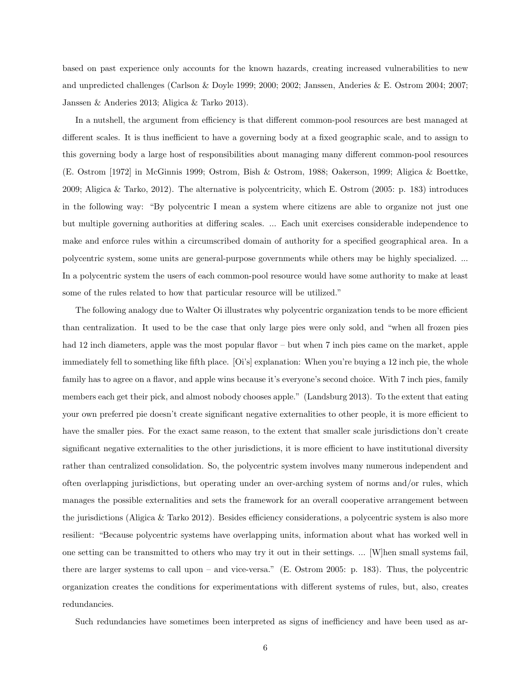based on past experience only accounts for the known hazards, creating increased vulnerabilities to new and unpredicted challenges (Carlson & Doyle 1999; 2000; 2002; Janssen, Anderies & E. Ostrom 2004; 2007; Janssen & Anderies 2013; Aligica & Tarko 2013).

In a nutshell, the argument from efficiency is that different common-pool resources are best managed at different scales. It is thus inefficient to have a governing body at a fixed geographic scale, and to assign to this governing body a large host of responsibilities about managing many different common-pool resources (E. Ostrom [1972] in McGinnis 1999; Ostrom, Bish & Ostrom, 1988; Oakerson, 1999; Aligica & Boettke, 2009; Aligica & Tarko, 2012). The alternative is polycentricity, which E. Ostrom (2005: p. 183) introduces in the following way: "By polycentric I mean a system where citizens are able to organize not just one but multiple governing authorities at differing scales. ... Each unit exercises considerable independence to make and enforce rules within a circumscribed domain of authority for a specified geographical area. In a polycentric system, some units are general-purpose governments while others may be highly specialized. ... In a polycentric system the users of each common-pool resource would have some authority to make at least some of the rules related to how that particular resource will be utilized."

The following analogy due to Walter Oi illustrates why polycentric organization tends to be more efficient than centralization. It used to be the case that only large pies were only sold, and "when all frozen pies had 12 inch diameters, apple was the most popular flavor – but when 7 inch pies came on the market, apple immediately fell to something like fifth place. [Oi's] explanation: When you're buying a 12 inch pie, the whole family has to agree on a flavor, and apple wins because it's everyone's second choice. With 7 inch pies, family members each get their pick, and almost nobody chooses apple." (Landsburg 2013). To the extent that eating your own preferred pie doesn't create significant negative externalities to other people, it is more efficient to have the smaller pies. For the exact same reason, to the extent that smaller scale jurisdictions don't create significant negative externalities to the other jurisdictions, it is more efficient to have institutional diversity rather than centralized consolidation. So, the polycentric system involves many numerous independent and often overlapping jurisdictions, but operating under an over-arching system of norms and/or rules, which manages the possible externalities and sets the framework for an overall cooperative arrangement between the jurisdictions (Aligica & Tarko 2012). Besides efficiency considerations, a polycentric system is also more resilient: "Because polycentric systems have overlapping units, information about what has worked well in one setting can be transmitted to others who may try it out in their settings. ... [W]hen small systems fail, there are larger systems to call upon – and vice-versa." (E. Ostrom 2005: p. 183). Thus, the polycentric organization creates the conditions for experimentations with different systems of rules, but, also, creates redundancies.

Such redundancies have sometimes been interpreted as signs of inefficiency and have been used as ar-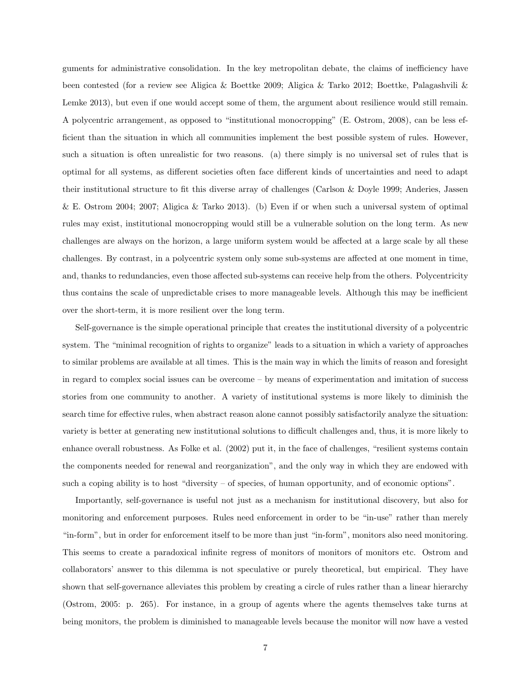guments for administrative consolidation. In the key metropolitan debate, the claims of inefficiency have been contested (for a review see Aligica & Boettke 2009; Aligica & Tarko 2012; Boettke, Palagashvili & Lemke 2013), but even if one would accept some of them, the argument about resilience would still remain. A polycentric arrangement, as opposed to "institutional monocropping" (E. Ostrom, 2008), can be less efficient than the situation in which all communities implement the best possible system of rules. However, such a situation is often unrealistic for two reasons. (a) there simply is no universal set of rules that is optimal for all systems, as different societies often face different kinds of uncertainties and need to adapt their institutional structure to fit this diverse array of challenges (Carlson & Doyle 1999; Anderies, Jassen & E. Ostrom 2004; 2007; Aligica & Tarko 2013). (b) Even if or when such a universal system of optimal rules may exist, institutional monocropping would still be a vulnerable solution on the long term. As new challenges are always on the horizon, a large uniform system would be affected at a large scale by all these challenges. By contrast, in a polycentric system only some sub-systems are affected at one moment in time, and, thanks to redundancies, even those affected sub-systems can receive help from the others. Polycentricity thus contains the scale of unpredictable crises to more manageable levels. Although this may be inefficient over the short-term, it is more resilient over the long term.

Self-governance is the simple operational principle that creates the institutional diversity of a polycentric system. The "minimal recognition of rights to organize" leads to a situation in which a variety of approaches to similar problems are available at all times. This is the main way in which the limits of reason and foresight in regard to complex social issues can be overcome – by means of experimentation and imitation of success stories from one community to another. A variety of institutional systems is more likely to diminish the search time for effective rules, when abstract reason alone cannot possibly satisfactorily analyze the situation: variety is better at generating new institutional solutions to difficult challenges and, thus, it is more likely to enhance overall robustness. As Folke et al. (2002) put it, in the face of challenges, "resilient systems contain the components needed for renewal and reorganization", and the only way in which they are endowed with such a coping ability is to host "diversity – of species, of human opportunity, and of economic options".

Importantly, self-governance is useful not just as a mechanism for institutional discovery, but also for monitoring and enforcement purposes. Rules need enforcement in order to be "in-use" rather than merely "in-form", but in order for enforcement itself to be more than just "in-form", monitors also need monitoring. This seems to create a paradoxical infinite regress of monitors of monitors of monitors etc. Ostrom and collaborators' answer to this dilemma is not speculative or purely theoretical, but empirical. They have shown that self-governance alleviates this problem by creating a circle of rules rather than a linear hierarchy (Ostrom, 2005: p. 265). For instance, in a group of agents where the agents themselves take turns at being monitors, the problem is diminished to manageable levels because the monitor will now have a vested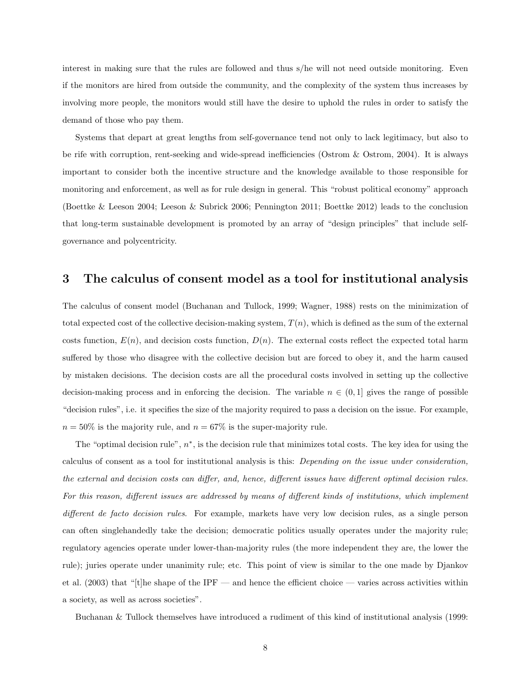interest in making sure that the rules are followed and thus s/he will not need outside monitoring. Even if the monitors are hired from outside the community, and the complexity of the system thus increases by involving more people, the monitors would still have the desire to uphold the rules in order to satisfy the demand of those who pay them.

Systems that depart at great lengths from self-governance tend not only to lack legitimacy, but also to be rife with corruption, rent-seeking and wide-spread inefficiencies (Ostrom & Ostrom, 2004). It is always important to consider both the incentive structure and the knowledge available to those responsible for monitoring and enforcement, as well as for rule design in general. This "robust political economy" approach (Boettke & Leeson 2004; Leeson & Subrick 2006; Pennington 2011; Boettke 2012) leads to the conclusion that long-term sustainable development is promoted by an array of "design principles" that include selfgovernance and polycentricity.

# 3 The calculus of consent model as a tool for institutional analysis

The calculus of consent model (Buchanan and Tullock, 1999; Wagner, 1988) rests on the minimization of total expected cost of the collective decision-making system,  $T(n)$ , which is defined as the sum of the external costs function,  $E(n)$ , and decision costs function,  $D(n)$ . The external costs reflect the expected total harm suffered by those who disagree with the collective decision but are forced to obey it, and the harm caused by mistaken decisions. The decision costs are all the procedural costs involved in setting up the collective decision-making process and in enforcing the decision. The variable  $n \in (0, 1]$  gives the range of possible "decision rules", i.e. it specifies the size of the majority required to pass a decision on the issue. For example,  $n = 50\%$  is the majority rule, and  $n = 67\%$  is the super-majority rule.

The "optimal decision rule",  $n^*$ , is the decision rule that minimizes total costs. The key idea for using the calculus of consent as a tool for institutional analysis is this: Depending on the issue under consideration, the external and decision costs can differ, and, hence, different issues have different optimal decision rules. For this reason, different issues are addressed by means of different kinds of institutions, which implement different de facto decision rules. For example, markets have very low decision rules, as a single person can often singlehandedly take the decision; democratic politics usually operates under the majority rule; regulatory agencies operate under lower-than-majority rules (the more independent they are, the lower the rule); juries operate under unanimity rule; etc. This point of view is similar to the one made by Djankov et al. (2003) that "[t]he shape of the IPF — and hence the efficient choice — varies across activities within a society, as well as across societies".

Buchanan & Tullock themselves have introduced a rudiment of this kind of institutional analysis (1999: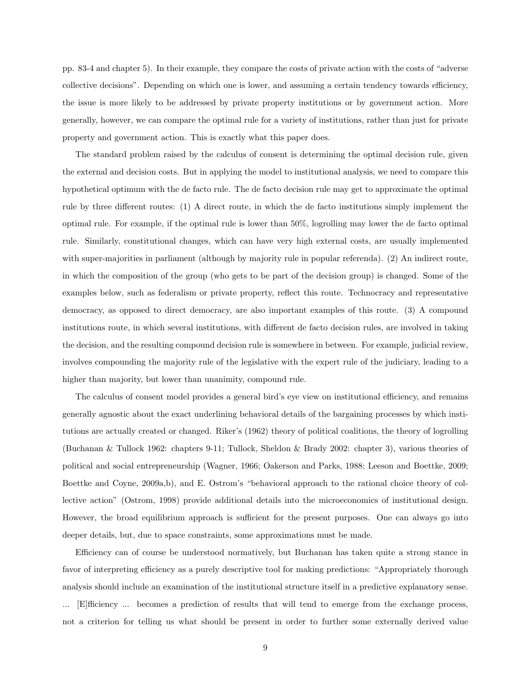pp. 83-4 and chapter 5). In their example, they compare the costs of private action with the costs of "adverse collective decisions". Depending on which one is lower, and assuming a certain tendency towards efficiency, the issue is more likely to be addressed by private property institutions or by government action. More generally, however, we can compare the optimal rule for a variety of institutions, rather than just for private property and government action. This is exactly what this paper does.

The standard problem raised by the calculus of consent is determining the optimal decision rule, given the external and decision costs. But in applying the model to institutional analysis, we need to compare this hypothetical optimum with the de facto rule. The de facto decision rule may get to approximate the optimal rule by three different routes: (1) A direct route, in which the de facto institutions simply implement the optimal rule. For example, if the optimal rule is lower than 50%, logrolling may lower the de facto optimal rule. Similarly, constitutional changes, which can have very high external costs, are usually implemented with super-majorities in parliament (although by majority rule in popular referenda). (2) An indirect route, in which the composition of the group (who gets to be part of the decision group) is changed. Some of the examples below, such as federalism or private property, reflect this route. Technocracy and representative democracy, as opposed to direct democracy, are also important examples of this route. (3) A compound institutions route, in which several institutions, with different de facto decision rules, are involved in taking the decision, and the resulting compound decision rule is somewhere in between. For example, judicial review, involves compounding the majority rule of the legislative with the expert rule of the judiciary, leading to a higher than majority, but lower than unanimity, compound rule.

The calculus of consent model provides a general bird's eye view on institutional efficiency, and remains generally agnostic about the exact underlining behavioral details of the bargaining processes by which institutions are actually created or changed. Riker's (1962) theory of political coalitions, the theory of logrolling (Buchanan & Tullock 1962: chapters 9-11; Tullock, Sheldon & Brady 2002: chapter 3), various theories of political and social entrepreneurship (Wagner, 1966; Oakerson and Parks, 1988; Leeson and Boettke, 2009; Boettke and Coyne, 2009a,b), and E. Ostrom's "behavioral approach to the rational choice theory of collective action" (Ostrom, 1998) provide additional details into the microeconomics of institutional design. However, the broad equilibrium approach is sufficient for the present purposes. One can always go into deeper details, but, due to space constraints, some approximations must be made.

Efficiency can of course be understood normatively, but Buchanan has taken quite a strong stance in favor of interpreting efficiency as a purely descriptive tool for making predictions: "Appropriately thorough analysis should include an examination of the institutional structure itself in a predictive explanatory sense. ... [E]fficiency ... becomes a prediction of results that will tend to emerge from the exchange process, not a criterion for telling us what should be present in order to further some externally derived value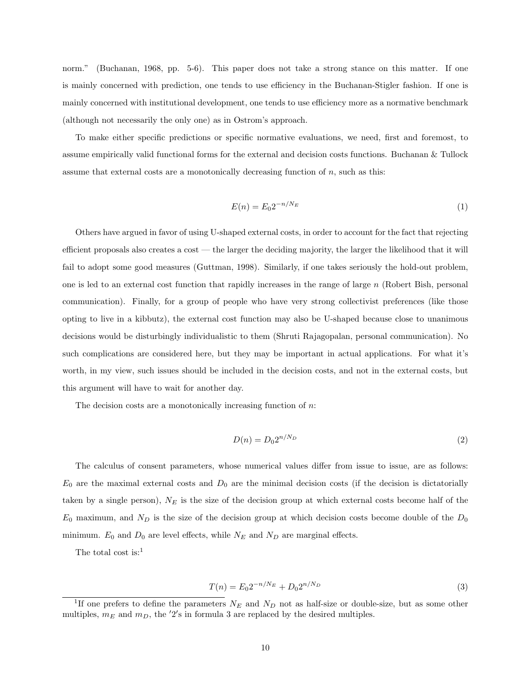norm." (Buchanan, 1968, pp. 5-6). This paper does not take a strong stance on this matter. If one is mainly concerned with prediction, one tends to use efficiency in the Buchanan-Stigler fashion. If one is mainly concerned with institutional development, one tends to use efficiency more as a normative benchmark (although not necessarily the only one) as in Ostrom's approach.

To make either specific predictions or specific normative evaluations, we need, first and foremost, to assume empirically valid functional forms for the external and decision costs functions. Buchanan & Tullock assume that external costs are a monotonically decreasing function of  $n$ , such as this:

$$
E(n) = E_0 2^{-n/N_E} \tag{1}
$$

Others have argued in favor of using U-shaped external costs, in order to account for the fact that rejecting efficient proposals also creates a cost — the larger the deciding majority, the larger the likelihood that it will fail to adopt some good measures (Guttman, 1998). Similarly, if one takes seriously the hold-out problem, one is led to an external cost function that rapidly increases in the range of large  $n$  (Robert Bish, personal communication). Finally, for a group of people who have very strong collectivist preferences (like those opting to live in a kibbutz), the external cost function may also be U-shaped because close to unanimous decisions would be disturbingly individualistic to them (Shruti Rajagopalan, personal communication). No such complications are considered here, but they may be important in actual applications. For what it's worth, in my view, such issues should be included in the decision costs, and not in the external costs, but this argument will have to wait for another day.

The decision costs are a monotonically increasing function of  $n$ .

$$
D(n) = D_0 2^{n/N_D} \tag{2}
$$

The calculus of consent parameters, whose numerical values differ from issue to issue, are as follows:  $E_0$  are the maximal external costs and  $D_0$  are the minimal decision costs (if the decision is dictatorially taken by a single person),  $N_E$  is the size of the decision group at which external costs become half of the  $E_0$  maximum, and  $N_D$  is the size of the decision group at which decision costs become double of the  $D_0$ minimum.  $E_0$  and  $D_0$  are level effects, while  $N_E$  and  $N_D$  are marginal effects.

The total cost is:<sup>1</sup>

$$
T(n) = E_0 2^{-n/N_E} + D_0 2^{n/N_D} \tag{3}
$$

<sup>&</sup>lt;sup>1</sup>If one prefers to define the parameters  $N_E$  and  $N_D$  not as half-size or double-size, but as some other multiples,  $m_E$  and  $m_D$ , the '2's in formula 3 are replaced by the desired multiples.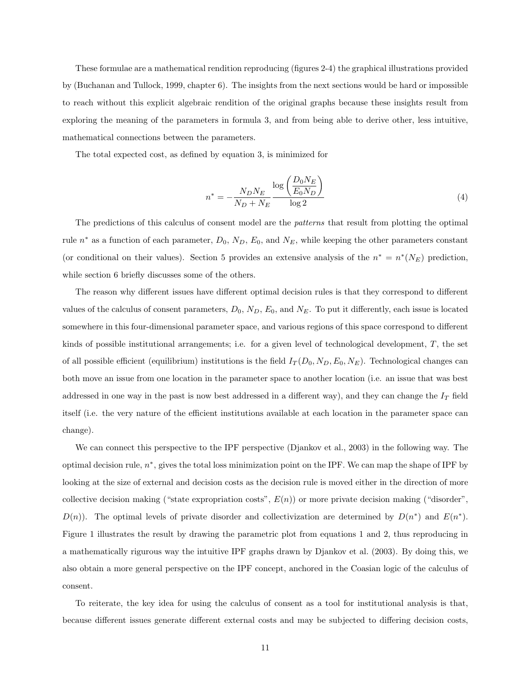These formulae are a mathematical rendition reproducing (figures 2-4) the graphical illustrations provided by (Buchanan and Tullock, 1999, chapter 6). The insights from the next sections would be hard or impossible to reach without this explicit algebraic rendition of the original graphs because these insights result from exploring the meaning of the parameters in formula 3, and from being able to derive other, less intuitive, mathematical connections between the parameters.

The total expected cost, as defined by equation 3, is minimized for

$$
n^* = -\frac{N_D N_E}{N_D + N_E} \frac{\log \left(\frac{D_0 N_E}{E_0 N_D}\right)}{\log 2} \tag{4}
$$

The predictions of this calculus of consent model are the patterns that result from plotting the optimal rule  $n^*$  as a function of each parameter,  $D_0$ ,  $N_D$ ,  $E_0$ , and  $N_E$ , while keeping the other parameters constant (or conditional on their values). Section 5 provides an extensive analysis of the  $n^* = n^*(N_E)$  prediction, while section 6 briefly discusses some of the others.

The reason why different issues have different optimal decision rules is that they correspond to different values of the calculus of consent parameters,  $D_0$ ,  $N_D$ ,  $E_0$ , and  $N_E$ . To put it differently, each issue is located somewhere in this four-dimensional parameter space, and various regions of this space correspond to different kinds of possible institutional arrangements; i.e. for a given level of technological development, T, the set of all possible efficient (equilibrium) institutions is the field  $I_T(D_0, N_D, E_0, N_E)$ . Technological changes can both move an issue from one location in the parameter space to another location (i.e. an issue that was best addressed in one way in the past is now best addressed in a different way), and they can change the  $I_T$  field itself (i.e. the very nature of the efficient institutions available at each location in the parameter space can change).

We can connect this perspective to the IPF perspective (Djankov et al., 2003) in the following way. The optimal decision rule,  $n^*$ , gives the total loss minimization point on the IPF. We can map the shape of IPF by looking at the size of external and decision costs as the decision rule is moved either in the direction of more collective decision making ("state expropriation costs",  $E(n)$ ) or more private decision making ("disorder",  $D(n)$ ). The optimal levels of private disorder and collectivization are determined by  $D(n^*)$  and  $E(n^*)$ . Figure 1 illustrates the result by drawing the parametric plot from equations 1 and 2, thus reproducing in a mathematically rigurous way the intuitive IPF graphs drawn by Djankov et al. (2003). By doing this, we also obtain a more general perspective on the IPF concept, anchored in the Coasian logic of the calculus of consent.

To reiterate, the key idea for using the calculus of consent as a tool for institutional analysis is that, because different issues generate different external costs and may be subjected to differing decision costs,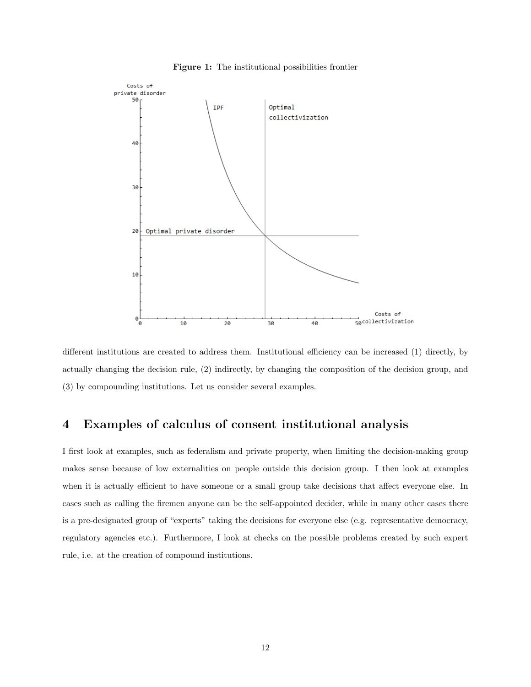

Figure 1: The institutional possibilities frontier

different institutions are created to address them. Institutional efficiency can be increased (1) directly, by actually changing the decision rule, (2) indirectly, by changing the composition of the decision group, and (3) by compounding institutions. Let us consider several examples.

# 4 Examples of calculus of consent institutional analysis

I first look at examples, such as federalism and private property, when limiting the decision-making group makes sense because of low externalities on people outside this decision group. I then look at examples when it is actually efficient to have someone or a small group take decisions that affect everyone else. In cases such as calling the firemen anyone can be the self-appointed decider, while in many other cases there is a pre-designated group of "experts" taking the decisions for everyone else (e.g. representative democracy, regulatory agencies etc.). Furthermore, I look at checks on the possible problems created by such expert rule, i.e. at the creation of compound institutions.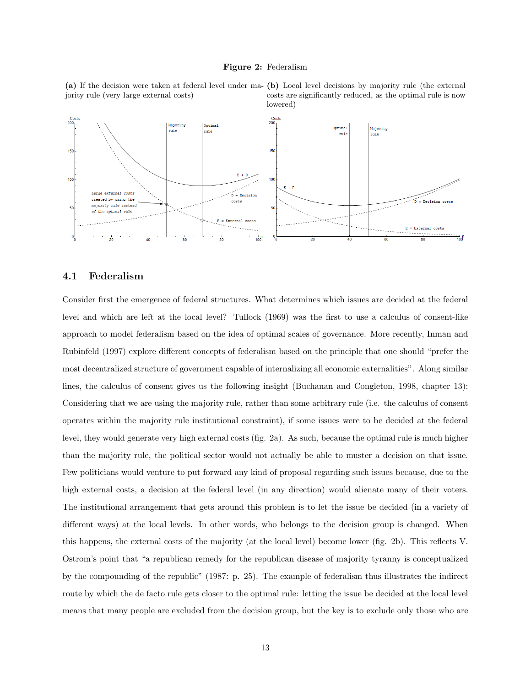#### Figure 2: Federalism

jority rule (very large external costs)





## 4.1 Federalism

Consider first the emergence of federal structures. What determines which issues are decided at the federal level and which are left at the local level? Tullock (1969) was the first to use a calculus of consent-like approach to model federalism based on the idea of optimal scales of governance. More recently, Inman and Rubinfeld (1997) explore different concepts of federalism based on the principle that one should "prefer the most decentralized structure of government capable of internalizing all economic externalities". Along similar lines, the calculus of consent gives us the following insight (Buchanan and Congleton, 1998, chapter 13): Considering that we are using the majority rule, rather than some arbitrary rule (i.e. the calculus of consent operates within the majority rule institutional constraint), if some issues were to be decided at the federal level, they would generate very high external costs (fig. 2a). As such, because the optimal rule is much higher than the majority rule, the political sector would not actually be able to muster a decision on that issue. Few politicians would venture to put forward any kind of proposal regarding such issues because, due to the high external costs, a decision at the federal level (in any direction) would alienate many of their voters. The institutional arrangement that gets around this problem is to let the issue be decided (in a variety of different ways) at the local levels. In other words, who belongs to the decision group is changed. When this happens, the external costs of the majority (at the local level) become lower (fig. 2b). This reflects V. Ostrom's point that "a republican remedy for the republican disease of majority tyranny is conceptualized by the compounding of the republic" (1987: p. 25). The example of federalism thus illustrates the indirect route by which the de facto rule gets closer to the optimal rule: letting the issue be decided at the local level means that many people are excluded from the decision group, but the key is to exclude only those who are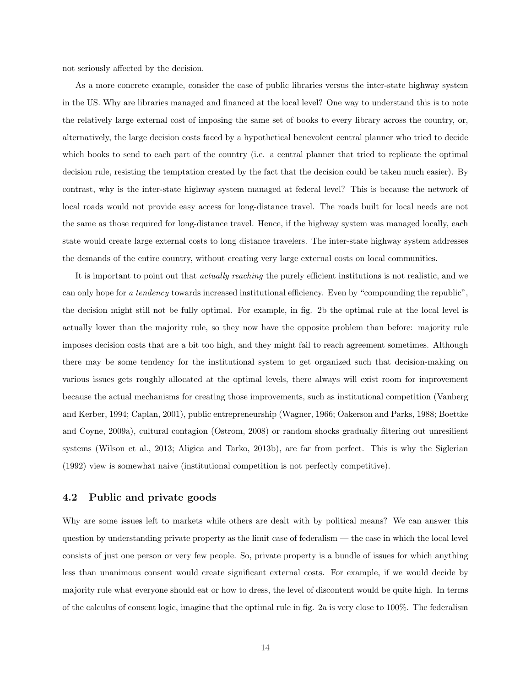not seriously affected by the decision.

As a more concrete example, consider the case of public libraries versus the inter-state highway system in the US. Why are libraries managed and financed at the local level? One way to understand this is to note the relatively large external cost of imposing the same set of books to every library across the country, or, alternatively, the large decision costs faced by a hypothetical benevolent central planner who tried to decide which books to send to each part of the country (i.e. a central planner that tried to replicate the optimal decision rule, resisting the temptation created by the fact that the decision could be taken much easier). By contrast, why is the inter-state highway system managed at federal level? This is because the network of local roads would not provide easy access for long-distance travel. The roads built for local needs are not the same as those required for long-distance travel. Hence, if the highway system was managed locally, each state would create large external costs to long distance travelers. The inter-state highway system addresses the demands of the entire country, without creating very large external costs on local communities.

It is important to point out that actually reaching the purely efficient institutions is not realistic, and we can only hope for a tendency towards increased institutional efficiency. Even by "compounding the republic", the decision might still not be fully optimal. For example, in fig. 2b the optimal rule at the local level is actually lower than the majority rule, so they now have the opposite problem than before: majority rule imposes decision costs that are a bit too high, and they might fail to reach agreement sometimes. Although there may be some tendency for the institutional system to get organized such that decision-making on various issues gets roughly allocated at the optimal levels, there always will exist room for improvement because the actual mechanisms for creating those improvements, such as institutional competition (Vanberg and Kerber, 1994; Caplan, 2001), public entrepreneurship (Wagner, 1966; Oakerson and Parks, 1988; Boettke and Coyne, 2009a), cultural contagion (Ostrom, 2008) or random shocks gradually filtering out unresilient systems (Wilson et al., 2013; Aligica and Tarko, 2013b), are far from perfect. This is why the Siglerian (1992) view is somewhat naive (institutional competition is not perfectly competitive).

## 4.2 Public and private goods

Why are some issues left to markets while others are dealt with by political means? We can answer this question by understanding private property as the limit case of federalism — the case in which the local level consists of just one person or very few people. So, private property is a bundle of issues for which anything less than unanimous consent would create significant external costs. For example, if we would decide by majority rule what everyone should eat or how to dress, the level of discontent would be quite high. In terms of the calculus of consent logic, imagine that the optimal rule in fig. 2a is very close to 100%. The federalism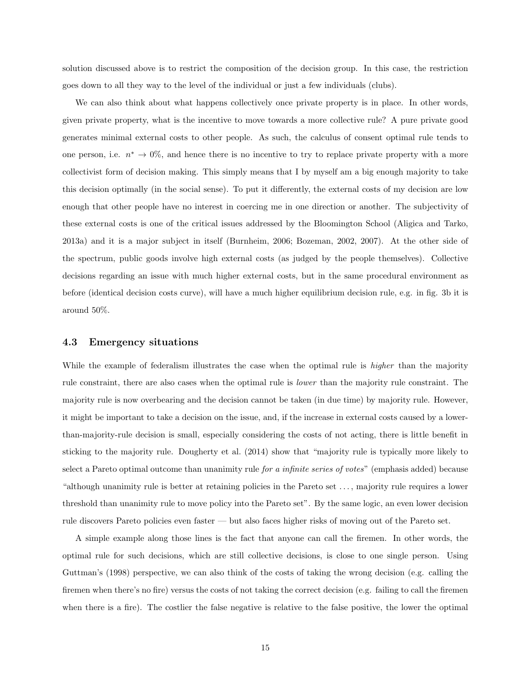solution discussed above is to restrict the composition of the decision group. In this case, the restriction goes down to all they way to the level of the individual or just a few individuals (clubs).

We can also think about what happens collectively once private property is in place. In other words, given private property, what is the incentive to move towards a more collective rule? A pure private good generates minimal external costs to other people. As such, the calculus of consent optimal rule tends to one person, i.e.  $n^* \to 0\%$ , and hence there is no incentive to try to replace private property with a more collectivist form of decision making. This simply means that I by myself am a big enough majority to take this decision optimally (in the social sense). To put it differently, the external costs of my decision are low enough that other people have no interest in coercing me in one direction or another. The subjectivity of these external costs is one of the critical issues addressed by the Bloomington School (Aligica and Tarko, 2013a) and it is a major subject in itself (Burnheim, 2006; Bozeman, 2002, 2007). At the other side of the spectrum, public goods involve high external costs (as judged by the people themselves). Collective decisions regarding an issue with much higher external costs, but in the same procedural environment as before (identical decision costs curve), will have a much higher equilibrium decision rule, e.g. in fig. 3b it is around 50%.

#### 4.3 Emergency situations

While the example of federalism illustrates the case when the optimal rule is *higher* than the majority rule constraint, there are also cases when the optimal rule is lower than the majority rule constraint. The majority rule is now overbearing and the decision cannot be taken (in due time) by majority rule. However, it might be important to take a decision on the issue, and, if the increase in external costs caused by a lowerthan-majority-rule decision is small, especially considering the costs of not acting, there is little benefit in sticking to the majority rule. Dougherty et al. (2014) show that "majority rule is typically more likely to select a Pareto optimal outcome than unanimity rule for a infinite series of votes" (emphasis added) because "although unanimity rule is better at retaining policies in the Pareto set . . . , majority rule requires a lower threshold than unanimity rule to move policy into the Pareto set". By the same logic, an even lower decision rule discovers Pareto policies even faster — but also faces higher risks of moving out of the Pareto set.

A simple example along those lines is the fact that anyone can call the firemen. In other words, the optimal rule for such decisions, which are still collective decisions, is close to one single person. Using Guttman's (1998) perspective, we can also think of the costs of taking the wrong decision (e.g. calling the firemen when there's no fire) versus the costs of not taking the correct decision (e.g. failing to call the firemen when there is a fire). The costlier the false negative is relative to the false positive, the lower the optimal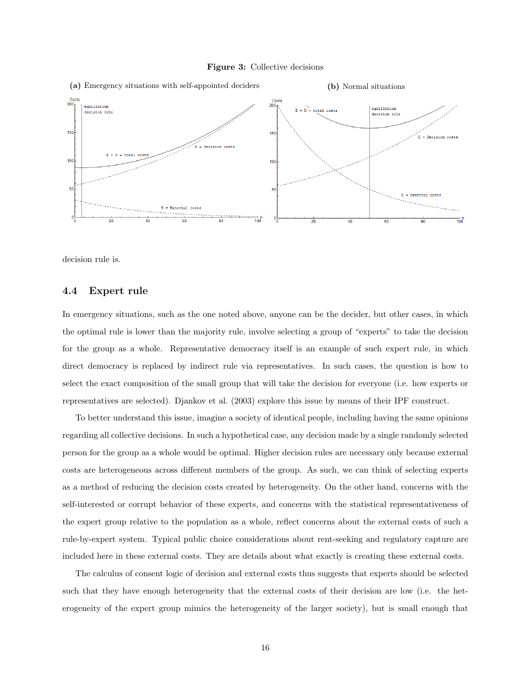



decision rule is.

## 4.4 Expert rule

In emergency situations, such as the one noted above, anyone can be the decider, but other cases, in which the optimal rule is lower than the majority rule, involve selecting a group of "experts" to take the decision for the group as a whole. Representative democracy itself is an example of such expert rule, in which direct democracy is replaced by indirect rule via representatives. In such cases, the question is how to select the exact composition of the small group that will take the decision for everyone (i.e. how experts or representatives are selected). Djankov et al. (2003) explore this issue by means of their IPF construct.

To better understand this issue, imagine a society of identical people, including having the same opinions regarding all collective decisions. In such a hypothetical case, any decision made by a single randomly selected person for the group as a whole would be optimal. Higher decision rules are necessary only because external costs are heterogeneous across different members of the group. As such, we can think of selecting experts as a method of reducing the decision costs created by heterogeneity. On the other hand, concerns with the self-interested or corrupt behavior of these experts, and concerns with the statistical representativeness of the expert group relative to the population as a whole, reflect concerns about the external costs of such a rule-by-expert system. Typical public choice considerations about rent-seeking and regulatory capture are included here in these external costs. They are details about what exactly is creating these external costs.

The calculus of consent logic of decision and external costs thus suggests that experts should be selected such that they have enough heterogeneity that the external costs of their decision are low (i.e. the heterogeneity of the expert group mimics the heterogeneity of the larger society), but is small enough that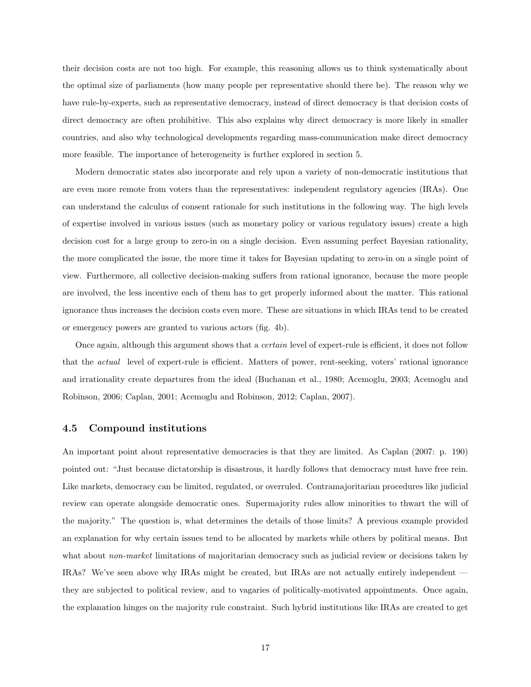their decision costs are not too high. For example, this reasoning allows us to think systematically about the optimal size of parliaments (how many people per representative should there be). The reason why we have rule-by-experts, such as representative democracy, instead of direct democracy is that decision costs of direct democracy are often prohibitive. This also explains why direct democracy is more likely in smaller countries, and also why technological developments regarding mass-communication make direct democracy more feasible. The importance of heterogeneity is further explored in section 5.

Modern democratic states also incorporate and rely upon a variety of non-democratic institutions that are even more remote from voters than the representatives: independent regulatory agencies (IRAs). One can understand the calculus of consent rationale for such institutions in the following way. The high levels of expertise involved in various issues (such as monetary policy or various regulatory issues) create a high decision cost for a large group to zero-in on a single decision. Even assuming perfect Bayesian rationality, the more complicated the issue, the more time it takes for Bayesian updating to zero-in on a single point of view. Furthermore, all collective decision-making suffers from rational ignorance, because the more people are involved, the less incentive each of them has to get properly informed about the matter. This rational ignorance thus increases the decision costs even more. These are situations in which IRAs tend to be created or emergency powers are granted to various actors (fig. 4b).

Once again, although this argument shows that a certain level of expert-rule is efficient, it does not follow that the actual level of expert-rule is efficient. Matters of power, rent-seeking, voters' rational ignorance and irrationality create departures from the ideal (Buchanan et al., 1980; Acemoglu, 2003; Acemoglu and Robinson, 2006; Caplan, 2001; Acemoglu and Robinson, 2012; Caplan, 2007).

### 4.5 Compound institutions

An important point about representative democracies is that they are limited. As Caplan (2007: p. 190) pointed out: "Just because dictatorship is disastrous, it hardly follows that democracy must have free rein. Like markets, democracy can be limited, regulated, or overruled. Contramajoritarian procedures like judicial review can operate alongside democratic ones. Supermajority rules allow minorities to thwart the will of the majority." The question is, what determines the details of those limits? A previous example provided an explanation for why certain issues tend to be allocated by markets while others by political means. But what about *non-market* limitations of majoritarian democracy such as judicial review or decisions taken by IRAs? We've seen above why IRAs might be created, but IRAs are not actually entirely independent they are subjected to political review, and to vagaries of politically-motivated appointments. Once again, the explanation hinges on the majority rule constraint. Such hybrid institutions like IRAs are created to get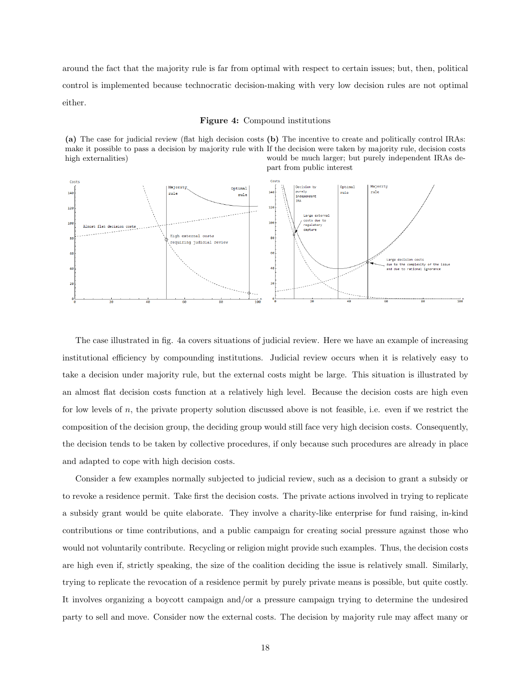around the fact that the majority rule is far from optimal with respect to certain issues; but, then, political control is implemented because technocratic decision-making with very low decision rules are not optimal either.

#### Figure 4: Compound institutions

(a) The case for judicial review (flat high decision costs (b) The incentive to create and politically control IRAs: make it possible to pass a decision by majority rule with If the decision were taken by majority rule, decision costs high externalities) would be much larger; but purely independent IRAs depart from public interest



The case illustrated in fig. 4a covers situations of judicial review. Here we have an example of increasing institutional efficiency by compounding institutions. Judicial review occurs when it is relatively easy to take a decision under majority rule, but the external costs might be large. This situation is illustrated by an almost flat decision costs function at a relatively high level. Because the decision costs are high even for low levels of  $n$ , the private property solution discussed above is not feasible, i.e. even if we restrict the composition of the decision group, the deciding group would still face very high decision costs. Consequently, the decision tends to be taken by collective procedures, if only because such procedures are already in place and adapted to cope with high decision costs.

Consider a few examples normally subjected to judicial review, such as a decision to grant a subsidy or to revoke a residence permit. Take first the decision costs. The private actions involved in trying to replicate a subsidy grant would be quite elaborate. They involve a charity-like enterprise for fund raising, in-kind contributions or time contributions, and a public campaign for creating social pressure against those who would not voluntarily contribute. Recycling or religion might provide such examples. Thus, the decision costs are high even if, strictly speaking, the size of the coalition deciding the issue is relatively small. Similarly, trying to replicate the revocation of a residence permit by purely private means is possible, but quite costly. It involves organizing a boycott campaign and/or a pressure campaign trying to determine the undesired party to sell and move. Consider now the external costs. The decision by majority rule may affect many or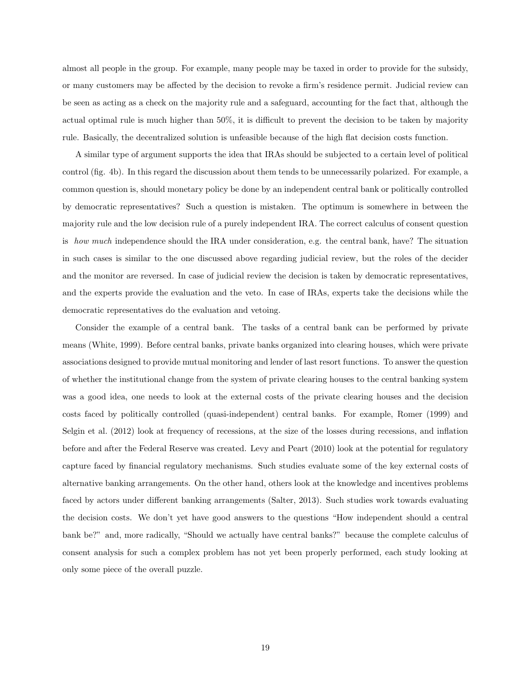almost all people in the group. For example, many people may be taxed in order to provide for the subsidy, or many customers may be affected by the decision to revoke a firm's residence permit. Judicial review can be seen as acting as a check on the majority rule and a safeguard, accounting for the fact that, although the actual optimal rule is much higher than 50%, it is difficult to prevent the decision to be taken by majority rule. Basically, the decentralized solution is unfeasible because of the high flat decision costs function.

A similar type of argument supports the idea that IRAs should be subjected to a certain level of political control (fig. 4b). In this regard the discussion about them tends to be unnecessarily polarized. For example, a common question is, should monetary policy be done by an independent central bank or politically controlled by democratic representatives? Such a question is mistaken. The optimum is somewhere in between the majority rule and the low decision rule of a purely independent IRA. The correct calculus of consent question is how much independence should the IRA under consideration, e.g. the central bank, have? The situation in such cases is similar to the one discussed above regarding judicial review, but the roles of the decider and the monitor are reversed. In case of judicial review the decision is taken by democratic representatives, and the experts provide the evaluation and the veto. In case of IRAs, experts take the decisions while the democratic representatives do the evaluation and vetoing.

Consider the example of a central bank. The tasks of a central bank can be performed by private means (White, 1999). Before central banks, private banks organized into clearing houses, which were private associations designed to provide mutual monitoring and lender of last resort functions. To answer the question of whether the institutional change from the system of private clearing houses to the central banking system was a good idea, one needs to look at the external costs of the private clearing houses and the decision costs faced by politically controlled (quasi-independent) central banks. For example, Romer (1999) and Selgin et al. (2012) look at frequency of recessions, at the size of the losses during recessions, and inflation before and after the Federal Reserve was created. Levy and Peart (2010) look at the potential for regulatory capture faced by financial regulatory mechanisms. Such studies evaluate some of the key external costs of alternative banking arrangements. On the other hand, others look at the knowledge and incentives problems faced by actors under different banking arrangements (Salter, 2013). Such studies work towards evaluating the decision costs. We don't yet have good answers to the questions "How independent should a central bank be?" and, more radically, "Should we actually have central banks?" because the complete calculus of consent analysis for such a complex problem has not yet been properly performed, each study looking at only some piece of the overall puzzle.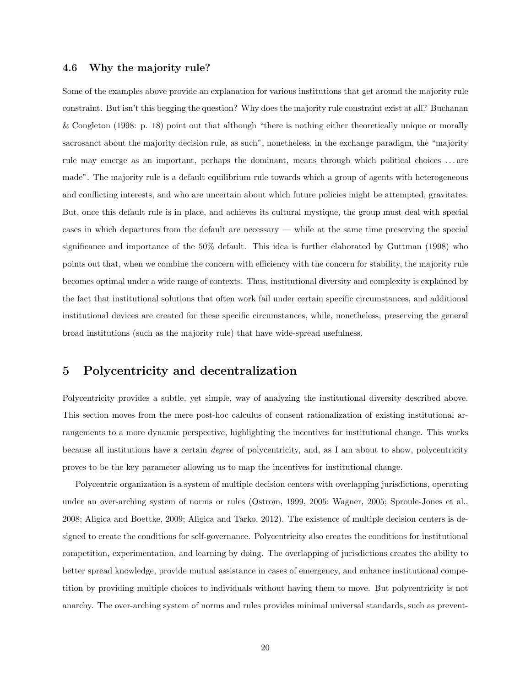## 4.6 Why the majority rule?

Some of the examples above provide an explanation for various institutions that get around the majority rule constraint. But isn't this begging the question? Why does the majority rule constraint exist at all? Buchanan & Congleton (1998: p. 18) point out that although "there is nothing either theoretically unique or morally sacrosanct about the majority decision rule, as such", nonetheless, in the exchange paradigm, the "majority rule may emerge as an important, perhaps the dominant, means through which political choices . . . are made". The majority rule is a default equilibrium rule towards which a group of agents with heterogeneous and conflicting interests, and who are uncertain about which future policies might be attempted, gravitates. But, once this default rule is in place, and achieves its cultural mystique, the group must deal with special cases in which departures from the default are necessary — while at the same time preserving the special significance and importance of the 50% default. This idea is further elaborated by Guttman (1998) who points out that, when we combine the concern with efficiency with the concern for stability, the majority rule becomes optimal under a wide range of contexts. Thus, institutional diversity and complexity is explained by the fact that institutional solutions that often work fail under certain specific circumstances, and additional institutional devices are created for these specific circumstances, while, nonetheless, preserving the general broad institutions (such as the majority rule) that have wide-spread usefulness.

# 5 Polycentricity and decentralization

Polycentricity provides a subtle, yet simple, way of analyzing the institutional diversity described above. This section moves from the mere post-hoc calculus of consent rationalization of existing institutional arrangements to a more dynamic perspective, highlighting the incentives for institutional change. This works because all institutions have a certain degree of polycentricity, and, as I am about to show, polycentricity proves to be the key parameter allowing us to map the incentives for institutional change.

Polycentric organization is a system of multiple decision centers with overlapping jurisdictions, operating under an over-arching system of norms or rules (Ostrom, 1999, 2005; Wagner, 2005; Sproule-Jones et al., 2008; Aligica and Boettke, 2009; Aligica and Tarko, 2012). The existence of multiple decision centers is designed to create the conditions for self-governance. Polycentricity also creates the conditions for institutional competition, experimentation, and learning by doing. The overlapping of jurisdictions creates the ability to better spread knowledge, provide mutual assistance in cases of emergency, and enhance institutional competition by providing multiple choices to individuals without having them to move. But polycentricity is not anarchy. The over-arching system of norms and rules provides minimal universal standards, such as prevent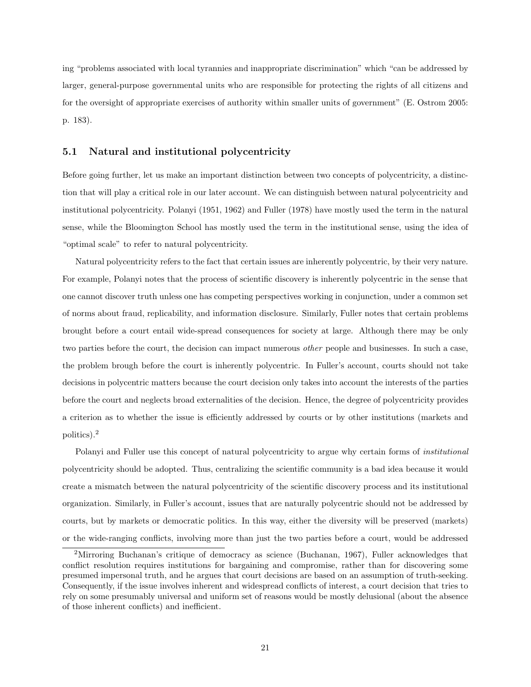ing "problems associated with local tyrannies and inappropriate discrimination" which "can be addressed by larger, general-purpose governmental units who are responsible for protecting the rights of all citizens and for the oversight of appropriate exercises of authority within smaller units of government" (E. Ostrom 2005: p. 183).

## 5.1 Natural and institutional polycentricity

Before going further, let us make an important distinction between two concepts of polycentricity, a distinction that will play a critical role in our later account. We can distinguish between natural polycentricity and institutional polycentricity. Polanyi (1951, 1962) and Fuller (1978) have mostly used the term in the natural sense, while the Bloomington School has mostly used the term in the institutional sense, using the idea of "optimal scale" to refer to natural polycentricity.

Natural polycentricity refers to the fact that certain issues are inherently polycentric, by their very nature. For example, Polanyi notes that the process of scientific discovery is inherently polycentric in the sense that one cannot discover truth unless one has competing perspectives working in conjunction, under a common set of norms about fraud, replicability, and information disclosure. Similarly, Fuller notes that certain problems brought before a court entail wide-spread consequences for society at large. Although there may be only two parties before the court, the decision can impact numerous *other* people and businesses. In such a case, the problem brough before the court is inherently polycentric. In Fuller's account, courts should not take decisions in polycentric matters because the court decision only takes into account the interests of the parties before the court and neglects broad externalities of the decision. Hence, the degree of polycentricity provides a criterion as to whether the issue is efficiently addressed by courts or by other institutions (markets and politics).<sup>2</sup>

Polanyi and Fuller use this concept of natural polycentricity to argue why certain forms of institutional polycentricity should be adopted. Thus, centralizing the scientific community is a bad idea because it would create a mismatch between the natural polycentricity of the scientific discovery process and its institutional organization. Similarly, in Fuller's account, issues that are naturally polycentric should not be addressed by courts, but by markets or democratic politics. In this way, either the diversity will be preserved (markets) or the wide-ranging conflicts, involving more than just the two parties before a court, would be addressed

<sup>&</sup>lt;sup>2</sup>Mirroring Buchanan's critique of democracy as science (Buchanan, 1967), Fuller acknowledges that conflict resolution requires institutions for bargaining and compromise, rather than for discovering some presumed impersonal truth, and he argues that court decisions are based on an assumption of truth-seeking. Consequently, if the issue involves inherent and widespread conflicts of interest, a court decision that tries to rely on some presumably universal and uniform set of reasons would be mostly delusional (about the absence of those inherent conflicts) and inefficient.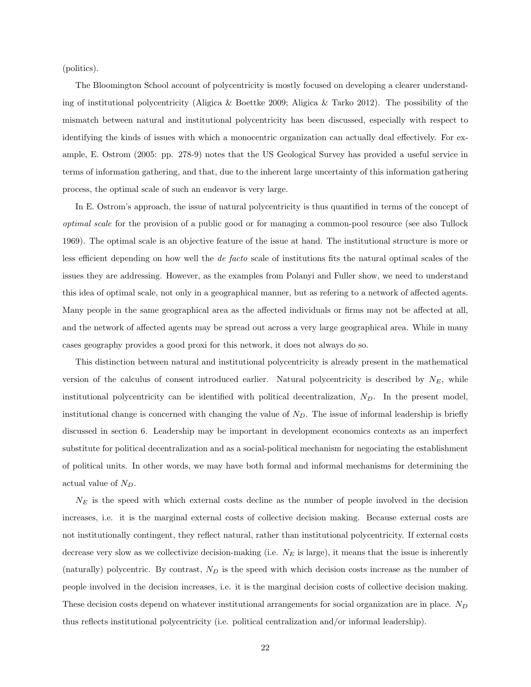(politics).

The Bloomington School account of polycentricity is mostly focused on developing a clearer understanding of institutional polycentricity (Aligica & Boettke 2009; Aligica & Tarko 2012). The possibility of the mismatch between natural and institutional polycentricity has been discussed, especially with respect to identifying the kinds of issues with which a monocentric organization can actually deal effectively. For example, E. Ostrom (2005: pp. 278-9) notes that the US Geological Survey has provided a useful service in terms of information gathering, and that, due to the inherent large uncertainty of this information gathering process, the optimal scale of such an endeavor is very large.

In E. Ostrom's approach, the issue of natural polycentricity is thus quantified in terms of the concept of optimal scale for the provision of a public good or for managing a common-pool resource (see also Tullock 1969). The optimal scale is an objective feature of the issue at hand. The institutional structure is more or less efficient depending on how well the de facto scale of institutions fits the natural optimal scales of the issues they are addressing. However, as the examples from Polanyi and Fuller show, we need to understand this idea of optimal scale, not only in a geographical manner, but as refering to a network of affected agents. Many people in the same geographical area as the affected individuals or firms may not be affected at all, and the network of affected agents may be spread out across a very large geographical area. While in many cases geography provides a good proxi for this network, it does not always do so.

This distinction between natural and institutional polycentricity is already present in the mathematical version of the calculus of consent introduced earlier. Natural polycentricity is described by  $N_E$ , while institutional polycentricity can be identified with political decentralization,  $N_D$ . In the present model, institutional change is concerned with changing the value of  $N_D$ . The issue of informal leadership is briefly discussed in section 6. Leadership may be important in development economics contexts as an imperfect substitute for political decentralization and as a social-political mechanism for negociating the establishment of political units. In other words, we may have both formal and informal mechanisms for determining the actual value of  $N_D$ .

 $N<sub>E</sub>$  is the speed with which external costs decline as the number of people involved in the decision increases, i.e. it is the marginal external costs of collective decision making. Because external costs are not institutionally contingent, they reflect natural, rather than institutional polycentricity. If external costs decrease very slow as we collectivize decision-making (i.e.  $N_E$  is large), it means that the issue is inherently (naturally) polycentric. By contrast,  $N_D$  is the speed with which decision costs increase as the number of people involved in the decision increases, i.e. it is the marginal decision costs of collective decision making. These decision costs depend on whatever institutional arrangements for social organization are in place.  $N_D$ thus reflects institutional polycentricity (i.e. political centralization and/or informal leadership).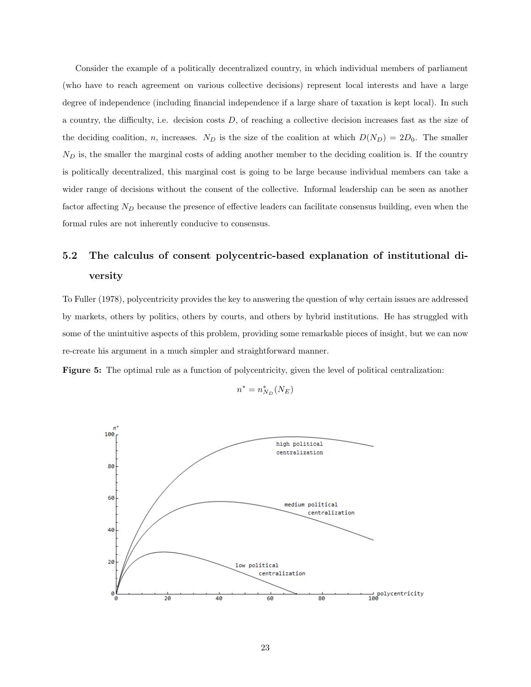Consider the example of a politically decentralized country, in which individual members of parliament (who have to reach agreement on various collective decisions) represent local interests and have a large degree of independence (including financial independence if a large share of taxation is kept local). In such a country, the difficulty, i.e. decision costs D, of reaching a collective decision increases fast as the size of the deciding coalition, n, increases.  $N_D$  is the size of the coalition at which  $D(N_D) = 2D_0$ . The smaller  $N_D$  is, the smaller the marginal costs of adding another member to the deciding coalition is. If the country is politically decentralized, this marginal cost is going to be large because individual members can take a wider range of decisions without the consent of the collective. Informal leadership can be seen as another factor affecting  $N_D$  because the presence of effective leaders can facilitate consensus building, even when the formal rules are not inherently conducive to consensus.

# 5.2 The calculus of consent polycentric-based explanation of institutional diversity

To Fuller (1978), polycentricity provides the key to answering the question of why certain issues are addressed by markets, others by politics, others by courts, and others by hybrid institutions. He has struggled with some of the unintuitive aspects of this problem, providing some remarkable pieces of insight, but we can now re-create his argument in a much simpler and straightforward manner.

Figure 5: The optimal rule as a function of polycentricity, given the level of political centralization:

n

$$
u^* = n_{N_D}^*(N_E)
$$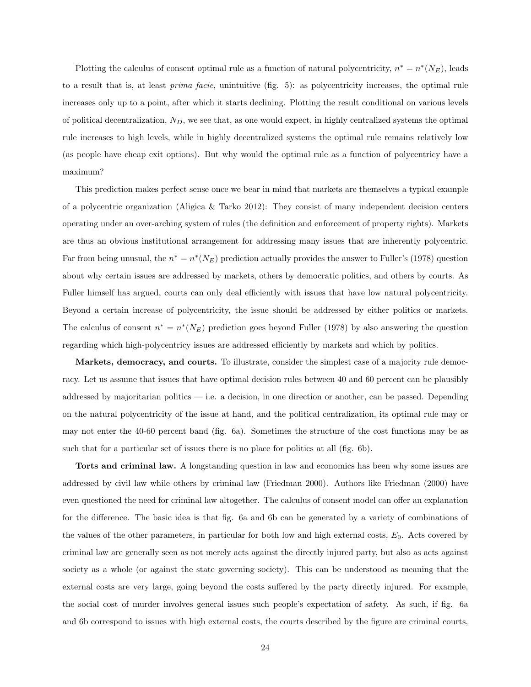Plotting the calculus of consent optimal rule as a function of natural polycentricity,  $n^* = n^*(N_E)$ , leads to a result that is, at least prima facie, unintuitive (fig. 5): as polycentricity increases, the optimal rule increases only up to a point, after which it starts declining. Plotting the result conditional on various levels of political decentralization,  $N_D$ , we see that, as one would expect, in highly centralized systems the optimal rule increases to high levels, while in highly decentralized systems the optimal rule remains relatively low (as people have cheap exit options). But why would the optimal rule as a function of polycentricy have a maximum?

This prediction makes perfect sense once we bear in mind that markets are themselves a typical example of a polycentric organization (Aligica & Tarko 2012): They consist of many independent decision centers operating under an over-arching system of rules (the definition and enforcement of property rights). Markets are thus an obvious institutional arrangement for addressing many issues that are inherently polycentric. Far from being unusual, the  $n^* = n^*(N_E)$  prediction actually provides the answer to Fuller's (1978) question about why certain issues are addressed by markets, others by democratic politics, and others by courts. As Fuller himself has argued, courts can only deal efficiently with issues that have low natural polycentricity. Beyond a certain increase of polycentricity, the issue should be addressed by either politics or markets. The calculus of consent  $n^* = n^*(N_E)$  prediction goes beyond Fuller (1978) by also answering the question regarding which high-polycentricy issues are addressed efficiently by markets and which by politics.

Markets, democracy, and courts. To illustrate, consider the simplest case of a majority rule democracy. Let us assume that issues that have optimal decision rules between 40 and 60 percent can be plausibly addressed by majoritarian politics — i.e. a decision, in one direction or another, can be passed. Depending on the natural polycentricity of the issue at hand, and the political centralization, its optimal rule may or may not enter the 40-60 percent band (fig. 6a). Sometimes the structure of the cost functions may be as such that for a particular set of issues there is no place for politics at all (fig. 6b).

Torts and criminal law. A longstanding question in law and economics has been why some issues are addressed by civil law while others by criminal law (Friedman 2000). Authors like Friedman (2000) have even questioned the need for criminal law altogether. The calculus of consent model can offer an explanation for the difference. The basic idea is that fig. 6a and 6b can be generated by a variety of combinations of the values of the other parameters, in particular for both low and high external costs,  $E_0$ . Acts covered by criminal law are generally seen as not merely acts against the directly injured party, but also as acts against society as a whole (or against the state governing society). This can be understood as meaning that the external costs are very large, going beyond the costs suffered by the party directly injured. For example, the social cost of murder involves general issues such people's expectation of safety. As such, if fig. 6a and 6b correspond to issues with high external costs, the courts described by the figure are criminal courts,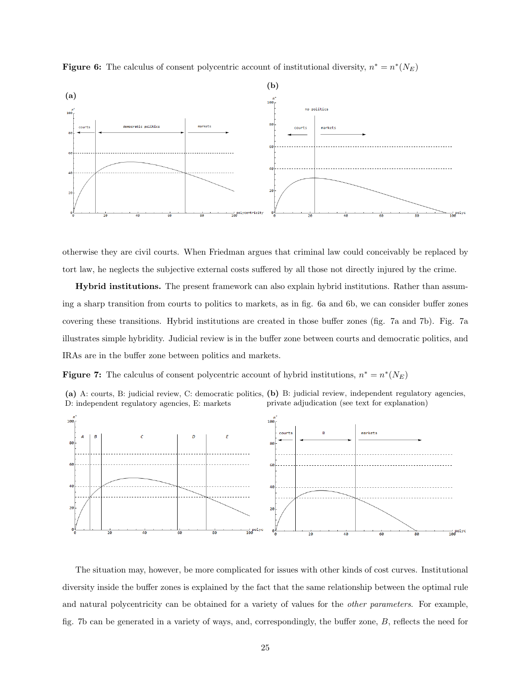



otherwise they are civil courts. When Friedman argues that criminal law could conceivably be replaced by tort law, he neglects the subjective external costs suffered by all those not directly injured by the crime.

Hybrid institutions. The present framework can also explain hybrid institutions. Rather than assuming a sharp transition from courts to politics to markets, as in fig. 6a and 6b, we can consider buffer zones covering these transitions. Hybrid institutions are created in those buffer zones (fig. 7a and 7b). Fig. 7a illustrates simple hybridity. Judicial review is in the buffer zone between courts and democratic politics, and IRAs are in the buffer zone between politics and markets.

**Figure 7:** The calculus of consent polycentric account of hybrid institutions,  $n^* = n^*(N_E)$ 





The situation may, however, be more complicated for issues with other kinds of cost curves. Institutional diversity inside the buffer zones is explained by the fact that the same relationship between the optimal rule and natural polycentricity can be obtained for a variety of values for the *other parameters*. For example, fig. 7b can be generated in a variety of ways, and, correspondingly, the buffer zone, B, reflects the need for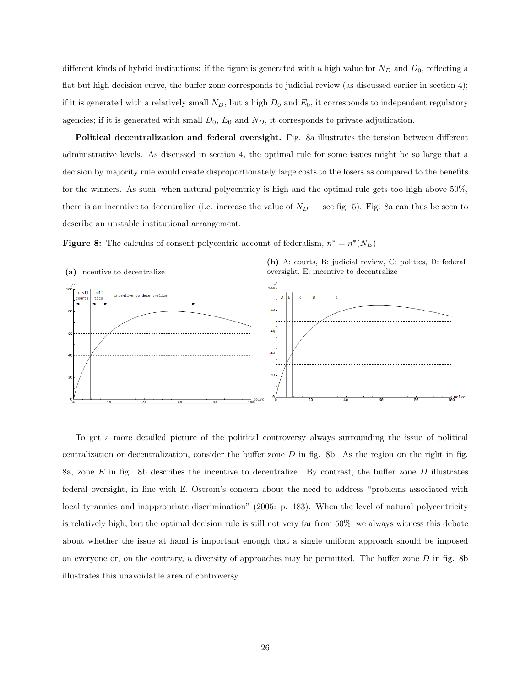different kinds of hybrid institutions: if the figure is generated with a high value for  $N_D$  and  $D_0$ , reflecting a flat but high decision curve, the buffer zone corresponds to judicial review (as discussed earlier in section 4); if it is generated with a relatively small  $N_D$ , but a high  $D_0$  and  $E_0$ , it corresponds to independent regulatory agencies; if it is generated with small  $D_0$ ,  $E_0$  and  $N_D$ , it corresponds to private adjudication.

Political decentralization and federal oversight. Fig. 8a illustrates the tension between different administrative levels. As discussed in section 4, the optimal rule for some issues might be so large that a decision by majority rule would create disproportionately large costs to the losers as compared to the benefits for the winners. As such, when natural polycentricy is high and the optimal rule gets too high above 50%, there is an incentive to decentralize (i.e. increase the value of  $N_D$  — see fig. 5). Fig. 8a can thus be seen to describe an unstable institutional arrangement.

**Figure 8:** The calculus of consent polycentric account of federalism,  $n^* = n^*(N_E)$ 



To get a more detailed picture of the political controversy always surrounding the issue of political centralization or decentralization, consider the buffer zone  $D$  in fig. 8b. As the region on the right in fig. 8a, zone  $E$  in fig. 8b describes the incentive to decentralize. By contrast, the buffer zone  $D$  illustrates federal oversight, in line with E. Ostrom's concern about the need to address "problems associated with local tyrannies and inappropriate discrimination" (2005: p. 183). When the level of natural polycentricity is relatively high, but the optimal decision rule is still not very far from 50%, we always witness this debate about whether the issue at hand is important enough that a single uniform approach should be imposed on everyone or, on the contrary, a diversity of approaches may be permitted. The buffer zone  $D$  in fig. 8b illustrates this unavoidable area of controversy.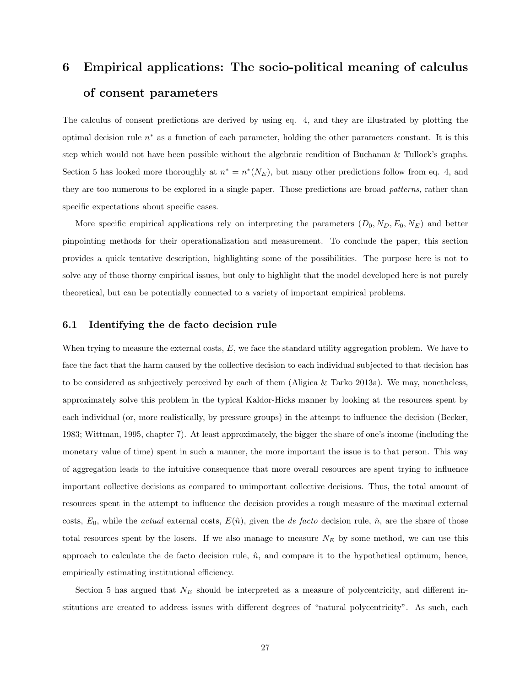# 6 Empirical applications: The socio-political meaning of calculus of consent parameters

The calculus of consent predictions are derived by using eq. 4, and they are illustrated by plotting the optimal decision rule  $n^*$  as a function of each parameter, holding the other parameters constant. It is this step which would not have been possible without the algebraic rendition of Buchanan & Tullock's graphs. Section 5 has looked more thoroughly at  $n^* = n^*(N_E)$ , but many other predictions follow from eq. 4, and they are too numerous to be explored in a single paper. Those predictions are broad patterns, rather than specific expectations about specific cases.

More specific empirical applications rely on interpreting the parameters  $(D_0, N_D, E_0, N_E)$  and better pinpointing methods for their operationalization and measurement. To conclude the paper, this section provides a quick tentative description, highlighting some of the possibilities. The purpose here is not to solve any of those thorny empirical issues, but only to highlight that the model developed here is not purely theoretical, but can be potentially connected to a variety of important empirical problems.

## 6.1 Identifying the de facto decision rule

When trying to measure the external costs,  $E$ , we face the standard utility aggregation problem. We have to face the fact that the harm caused by the collective decision to each individual subjected to that decision has to be considered as subjectively perceived by each of them (Aligica & Tarko 2013a). We may, nonetheless, approximately solve this problem in the typical Kaldor-Hicks manner by looking at the resources spent by each individual (or, more realistically, by pressure groups) in the attempt to influence the decision (Becker, 1983; Wittman, 1995, chapter 7). At least approximately, the bigger the share of one's income (including the monetary value of time) spent in such a manner, the more important the issue is to that person. This way of aggregation leads to the intuitive consequence that more overall resources are spent trying to influence important collective decisions as compared to unimportant collective decisions. Thus, the total amount of resources spent in the attempt to influence the decision provides a rough measure of the maximal external costs,  $E_0$ , while the *actual* external costs,  $E(\hat{n})$ , given the *de facto* decision rule,  $\hat{n}$ , are the share of those total resources spent by the losers. If we also manage to measure  $N_E$  by some method, we can use this approach to calculate the de facto decision rule,  $\hat{n}$ , and compare it to the hypothetical optimum, hence, empirically estimating institutional efficiency.

Section 5 has argued that  $N_E$  should be interpreted as a measure of polycentricity, and different institutions are created to address issues with different degrees of "natural polycentricity". As such, each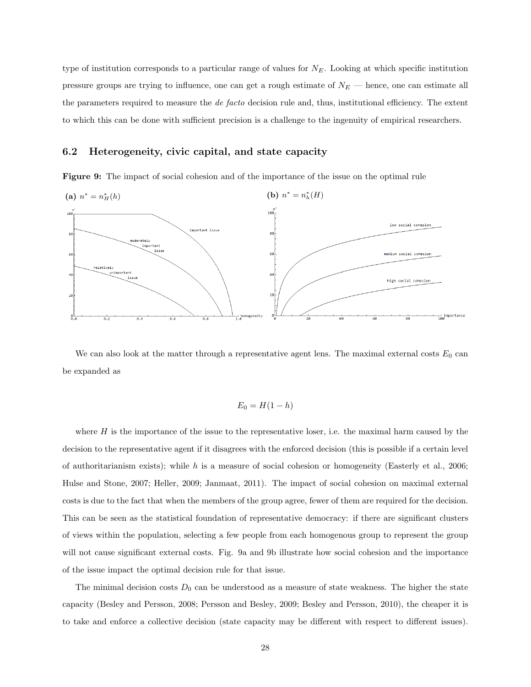type of institution corresponds to a particular range of values for  $N_E$ . Looking at which specific institution pressure groups are trying to influence, one can get a rough estimate of  $N_E$  — hence, one can estimate all the parameters required to measure the *de facto* decision rule and, thus, institutional efficiency. The extent to which this can be done with sufficient precision is a challenge to the ingenuity of empirical researchers.

## 6.2 Heterogeneity, civic capital, and state capacity

Figure 9: The impact of social cohesion and of the importance of the issue on the optimal rule



We can also look at the matter through a representative agent lens. The maximal external costs  $E_0$  can be expanded as

$$
E_0 = H(1-h)
$$

where  $H$  is the importance of the issue to the representative loser, i.e. the maximal harm caused by the decision to the representative agent if it disagrees with the enforced decision (this is possible if a certain level of authoritarianism exists); while h is a measure of social cohesion or homogeneity (Easterly et al., 2006; Hulse and Stone, 2007; Heller, 2009; Janmaat, 2011). The impact of social cohesion on maximal external costs is due to the fact that when the members of the group agree, fewer of them are required for the decision. This can be seen as the statistical foundation of representative democracy: if there are significant clusters of views within the population, selecting a few people from each homogenous group to represent the group will not cause significant external costs. Fig. 9a and 9b illustrate how social cohesion and the importance of the issue impact the optimal decision rule for that issue.

The minimal decision costs  $D_0$  can be understood as a measure of state weakness. The higher the state capacity (Besley and Persson, 2008; Persson and Besley, 2009; Besley and Persson, 2010), the cheaper it is to take and enforce a collective decision (state capacity may be different with respect to different issues).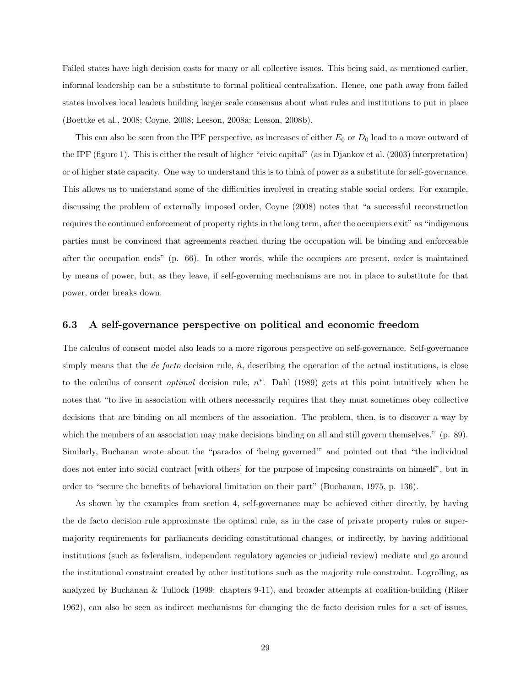Failed states have high decision costs for many or all collective issues. This being said, as mentioned earlier, informal leadership can be a substitute to formal political centralization. Hence, one path away from failed states involves local leaders building larger scale consensus about what rules and institutions to put in place (Boettke et al., 2008; Coyne, 2008; Leeson, 2008a; Leeson, 2008b).

This can also be seen from the IPF perspective, as increases of either  $E_0$  or  $D_0$  lead to a move outward of the IPF (figure 1). This is either the result of higher "civic capital" (as in Djankov et al. (2003) interpretation) or of higher state capacity. One way to understand this is to think of power as a substitute for self-governance. This allows us to understand some of the difficulties involved in creating stable social orders. For example, discussing the problem of externally imposed order, Coyne (2008) notes that "a successful reconstruction requires the continued enforcement of property rights in the long term, after the occupiers exit" as "indigenous parties must be convinced that agreements reached during the occupation will be binding and enforceable after the occupation ends" (p. 66). In other words, while the occupiers are present, order is maintained by means of power, but, as they leave, if self-governing mechanisms are not in place to substitute for that power, order breaks down.

## 6.3 A self-governance perspective on political and economic freedom

The calculus of consent model also leads to a more rigorous perspective on self-governance. Self-governance simply means that the *de facto* decision rule,  $\hat{n}$ , describing the operation of the actual institutions, is close to the calculus of consent *optimal* decision rule,  $n^*$ . Dahl (1989) gets at this point intuitively when he notes that "to live in association with others necessarily requires that they must sometimes obey collective decisions that are binding on all members of the association. The problem, then, is to discover a way by which the members of an association may make decisions binding on all and still govern themselves." (p. 89). Similarly, Buchanan wrote about the "paradox of 'being governed'" and pointed out that "the individual does not enter into social contract [with others] for the purpose of imposing constraints on himself", but in order to "secure the benefits of behavioral limitation on their part" (Buchanan, 1975, p. 136).

As shown by the examples from section 4, self-governance may be achieved either directly, by having the de facto decision rule approximate the optimal rule, as in the case of private property rules or supermajority requirements for parliaments deciding constitutional changes, or indirectly, by having additional institutions (such as federalism, independent regulatory agencies or judicial review) mediate and go around the institutional constraint created by other institutions such as the majority rule constraint. Logrolling, as analyzed by Buchanan & Tullock (1999: chapters 9-11), and broader attempts at coalition-building (Riker 1962), can also be seen as indirect mechanisms for changing the de facto decision rules for a set of issues,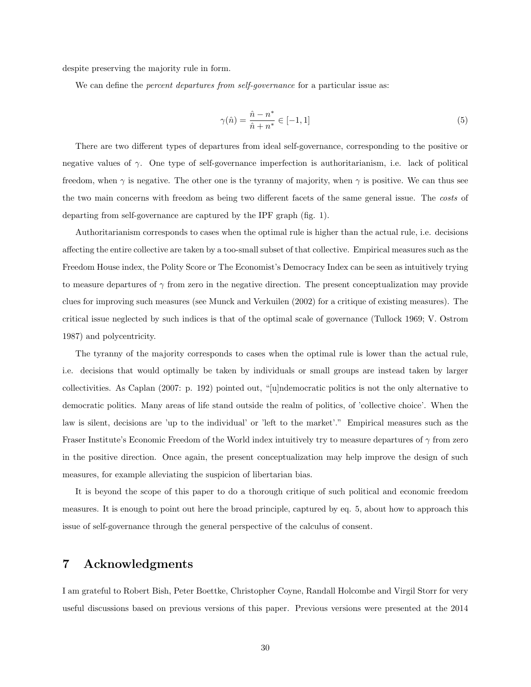despite preserving the majority rule in form.

We can define the *percent departures from self-governance* for a particular issue as:

$$
\gamma(\hat{n}) = \frac{\hat{n} - n^*}{\hat{n} + n^*} \in [-1, 1] \tag{5}
$$

There are two different types of departures from ideal self-governance, corresponding to the positive or negative values of  $\gamma$ . One type of self-governance imperfection is authoritarianism, i.e. lack of political freedom, when  $\gamma$  is negative. The other one is the tyranny of majority, when  $\gamma$  is positive. We can thus see the two main concerns with freedom as being two different facets of the same general issue. The costs of departing from self-governance are captured by the IPF graph (fig. 1).

Authoritarianism corresponds to cases when the optimal rule is higher than the actual rule, i.e. decisions affecting the entire collective are taken by a too-small subset of that collective. Empirical measures such as the Freedom House index, the Polity Score or The Economist's Democracy Index can be seen as intuitively trying to measure departures of  $\gamma$  from zero in the negative direction. The present conceptualization may provide clues for improving such measures (see Munck and Verkuilen (2002) for a critique of existing measures). The critical issue neglected by such indices is that of the optimal scale of governance (Tullock 1969; V. Ostrom 1987) and polycentricity.

The tyranny of the majority corresponds to cases when the optimal rule is lower than the actual rule, i.e. decisions that would optimally be taken by individuals or small groups are instead taken by larger collectivities. As Caplan (2007: p. 192) pointed out, "[u]ndemocratic politics is not the only alternative to democratic politics. Many areas of life stand outside the realm of politics, of 'collective choice'. When the law is silent, decisions are 'up to the individual' or 'left to the market'." Empirical measures such as the Fraser Institute's Economic Freedom of the World index intuitively try to measure departures of  $\gamma$  from zero in the positive direction. Once again, the present conceptualization may help improve the design of such measures, for example alleviating the suspicion of libertarian bias.

It is beyond the scope of this paper to do a thorough critique of such political and economic freedom measures. It is enough to point out here the broad principle, captured by eq. 5, about how to approach this issue of self-governance through the general perspective of the calculus of consent.

# 7 Acknowledgments

I am grateful to Robert Bish, Peter Boettke, Christopher Coyne, Randall Holcombe and Virgil Storr for very useful discussions based on previous versions of this paper. Previous versions were presented at the 2014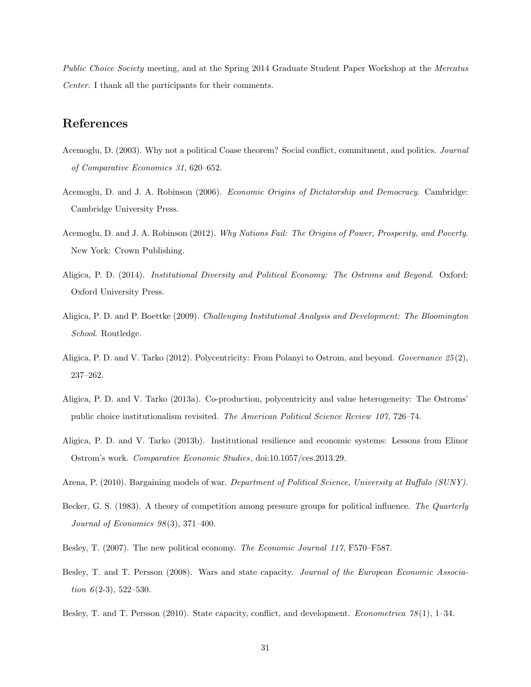Public Choice Society meeting, and at the Spring 2014 Graduate Student Paper Workshop at the Mercatus Center. I thank all the participants for their comments.

# References

- Acemoglu, D. (2003). Why not a political Coase theorem? Social conflict, commitment, and politics. Journal of Comparative Economics 31, 620–652.
- Acemoglu, D. and J. A. Robinson (2006). Economic Origins of Dictatorship and Democracy. Cambridge: Cambridge University Press.
- Acemoglu, D. and J. A. Robinson (2012). Why Nations Fail: The Origins of Power, Prosperity, and Poverty. New York: Crown Publishing.
- Aligica, P. D. (2014). Institutional Diversity and Political Economy: The Ostroms and Beyond. Oxford: Oxford University Press.
- Aligica, P. D. and P. Boettke (2009). Challenging Institutional Analysis and Development: The Bloomington School. Routledge.
- Aligica, P. D. and V. Tarko (2012). Polycentricity: From Polanyi to Ostrom, and beyond. Governance 25 (2), 237–262.
- Aligica, P. D. and V. Tarko (2013a). Co-production, polycentricity and value heterogeneity: The Ostroms' public choice institutionalism revisited. The American Political Science Review 107, 726–74.
- Aligica, P. D. and V. Tarko (2013b). Institutional resilience and economic systems: Lessons from Elinor Ostrom's work. Comparative Economic Studies, doi:10.1057/ces.2013.29.
- Arena, P. (2010). Bargaining models of war. Department of Political Science, University at Buffalo (SUNY).
- Becker, G. S. (1983). A theory of competition among pressure groups for political influence. The Quarterly Journal of Economics  $98(3)$ , 371-400.
- Besley, T. (2007). The new political economy. The Economic Journal 117, F570–F587.
- Besley, T. and T. Persson (2008). Wars and state capacity. Journal of the European Economic Association  $6(2-3)$ , 522-530.
- Besley, T. and T. Persson (2010). State capacity, conflict, and development. *Econometrica* 78(1), 1–34.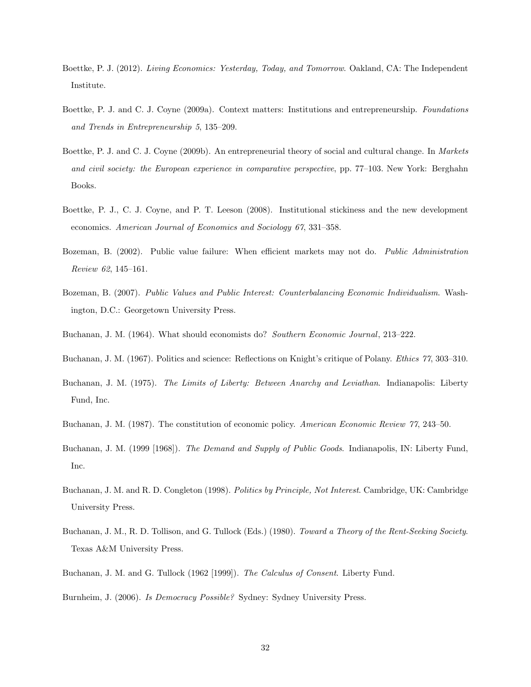- Boettke, P. J. (2012). Living Economics: Yesterday, Today, and Tomorrow. Oakland, CA: The Independent Institute.
- Boettke, P. J. and C. J. Coyne (2009a). Context matters: Institutions and entrepreneurship. Foundations and Trends in Entrepreneurship 5, 135–209.
- Boettke, P. J. and C. J. Coyne (2009b). An entrepreneurial theory of social and cultural change. In Markets and civil society: the European experience in comparative perspective, pp. 77–103. New York: Berghahn Books.
- Boettke, P. J., C. J. Coyne, and P. T. Leeson (2008). Institutional stickiness and the new development economics. American Journal of Economics and Sociology 67, 331–358.
- Bozeman, B. (2002). Public value failure: When efficient markets may not do. Public Administration Review 62, 145–161.
- Bozeman, B. (2007). Public Values and Public Interest: Counterbalancing Economic Individualism. Washington, D.C.: Georgetown University Press.
- Buchanan, J. M. (1964). What should economists do? Southern Economic Journal, 213–222.
- Buchanan, J. M. (1967). Politics and science: Reflections on Knight's critique of Polany. Ethics 77, 303–310.
- Buchanan, J. M. (1975). The Limits of Liberty: Between Anarchy and Leviathan. Indianapolis: Liberty Fund, Inc.
- Buchanan, J. M. (1987). The constitution of economic policy. American Economic Review 77, 243–50.
- Buchanan, J. M. (1999 [1968]). The Demand and Supply of Public Goods. Indianapolis, IN: Liberty Fund, Inc.
- Buchanan, J. M. and R. D. Congleton (1998). Politics by Principle, Not Interest. Cambridge, UK: Cambridge University Press.
- Buchanan, J. M., R. D. Tollison, and G. Tullock (Eds.) (1980). Toward a Theory of the Rent-Seeking Society. Texas A&M University Press.
- Buchanan, J. M. and G. Tullock (1962 [1999]). The Calculus of Consent. Liberty Fund.

Burnheim, J. (2006). Is Democracy Possible? Sydney: Sydney University Press.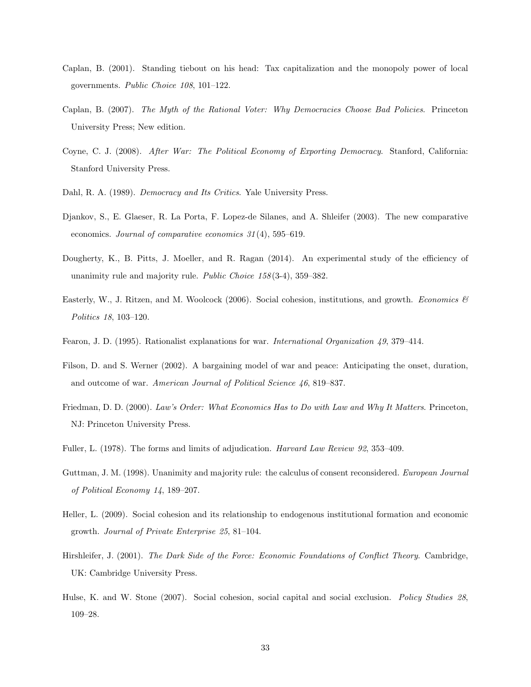- Caplan, B. (2001). Standing tiebout on his head: Tax capitalization and the monopoly power of local governments. Public Choice 108, 101–122.
- Caplan, B. (2007). The Myth of the Rational Voter: Why Democracies Choose Bad Policies. Princeton University Press; New edition.
- Coyne, C. J. (2008). After War: The Political Economy of Exporting Democracy. Stanford, California: Stanford University Press.
- Dahl, R. A. (1989). Democracy and Its Critics. Yale University Press.
- Djankov, S., E. Glaeser, R. La Porta, F. Lopez-de Silanes, and A. Shleifer (2003). The new comparative economics. Journal of comparative economics 31 (4), 595–619.
- Dougherty, K., B. Pitts, J. Moeller, and R. Ragan (2014). An experimental study of the efficiency of unanimity rule and majority rule. Public Choice  $158(3-4)$ ,  $359-382$ .
- Easterly, W., J. Ritzen, and M. Woolcock (2006). Social cohesion, institutions, and growth. Economics  $\mathcal{B}$ Politics 18, 103–120.
- Fearon, J. D. (1995). Rationalist explanations for war. International Organization 49, 379–414.
- Filson, D. and S. Werner (2002). A bargaining model of war and peace: Anticipating the onset, duration, and outcome of war. American Journal of Political Science 46, 819–837.
- Friedman, D. D. (2000). Law's Order: What Economics Has to Do with Law and Why It Matters. Princeton, NJ: Princeton University Press.
- Fuller, L. (1978). The forms and limits of adjudication. Harvard Law Review 92, 353–409.
- Guttman, J. M. (1998). Unanimity and majority rule: the calculus of consent reconsidered. European Journal of Political Economy 14, 189–207.
- Heller, L. (2009). Social cohesion and its relationship to endogenous institutional formation and economic growth. Journal of Private Enterprise 25, 81–104.
- Hirshleifer, J. (2001). The Dark Side of the Force: Economic Foundations of Conflict Theory. Cambridge, UK: Cambridge University Press.
- Hulse, K. and W. Stone (2007). Social cohesion, social capital and social exclusion. Policy Studies 28, 109–28.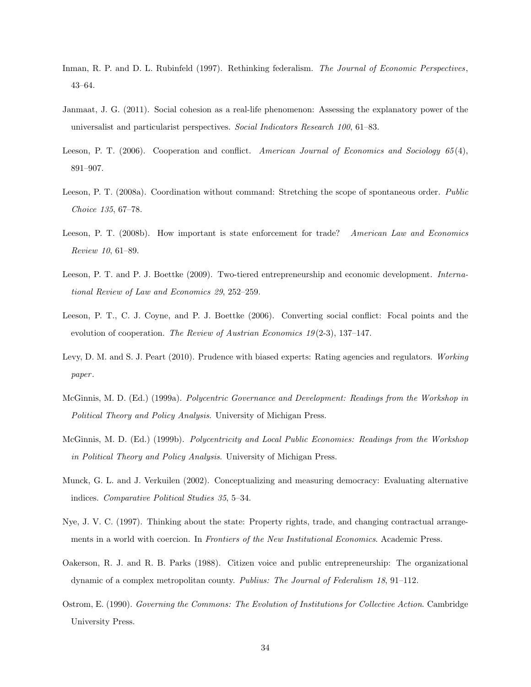- Inman, R. P. and D. L. Rubinfeld (1997). Rethinking federalism. The Journal of Economic Perspectives, 43–64.
- Janmaat, J. G. (2011). Social cohesion as a real-life phenomenon: Assessing the explanatory power of the universalist and particularist perspectives. Social Indicators Research 100, 61–83.
- Leeson, P. T. (2006). Cooperation and conflict. American Journal of Economics and Sociology 65(4), 891–907.
- Leeson, P. T. (2008a). Coordination without command: Stretching the scope of spontaneous order. Public Choice 135, 67–78.
- Leeson, P. T. (2008b). How important is state enforcement for trade? American Law and Economics Review 10, 61–89.
- Leeson, P. T. and P. J. Boettke (2009). Two-tiered entrepreneurship and economic development. International Review of Law and Economics 29, 252–259.
- Leeson, P. T., C. J. Coyne, and P. J. Boettke (2006). Converting social conflict: Focal points and the evolution of cooperation. The Review of Austrian Economics  $19(2-3)$ , 137-147.
- Levy, D. M. and S. J. Peart (2010). Prudence with biased experts: Rating agencies and regulators. Working paper.
- McGinnis, M. D. (Ed.) (1999a). Polycentric Governance and Development: Readings from the Workshop in Political Theory and Policy Analysis. University of Michigan Press.
- McGinnis, M. D. (Ed.) (1999b). Polycentricity and Local Public Economies: Readings from the Workshop in Political Theory and Policy Analysis. University of Michigan Press.
- Munck, G. L. and J. Verkuilen (2002). Conceptualizing and measuring democracy: Evaluating alternative indices. Comparative Political Studies 35, 5–34.
- Nye, J. V. C. (1997). Thinking about the state: Property rights, trade, and changing contractual arrangements in a world with coercion. In Frontiers of the New Institutional Economics. Academic Press.
- Oakerson, R. J. and R. B. Parks (1988). Citizen voice and public entrepreneurship: The organizational dynamic of a complex metropolitan county. Publius: The Journal of Federalism 18, 91–112.
- Ostrom, E. (1990). Governing the Commons: The Evolution of Institutions for Collective Action. Cambridge University Press.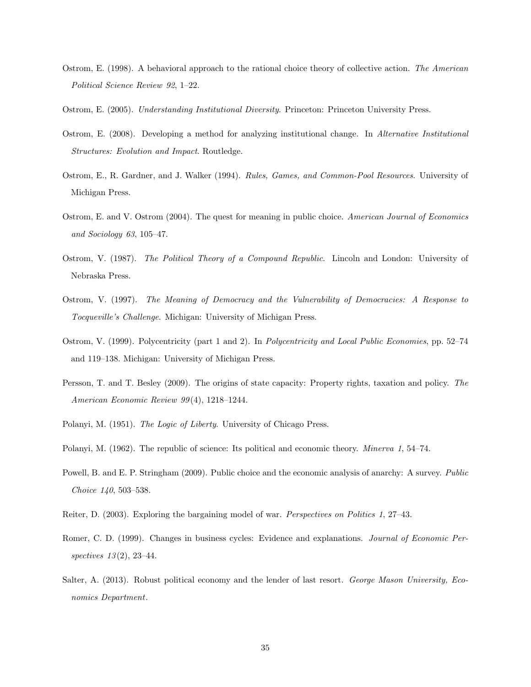- Ostrom, E. (1998). A behavioral approach to the rational choice theory of collective action. The American Political Science Review 92, 1–22.
- Ostrom, E. (2005). Understanding Institutional Diversity. Princeton: Princeton University Press.
- Ostrom, E. (2008). Developing a method for analyzing institutional change. In Alternative Institutional Structures: Evolution and Impact. Routledge.
- Ostrom, E., R. Gardner, and J. Walker (1994). Rules, Games, and Common-Pool Resources. University of Michigan Press.
- Ostrom, E. and V. Ostrom (2004). The quest for meaning in public choice. American Journal of Economics and Sociology 63, 105–47.
- Ostrom, V. (1987). The Political Theory of a Compound Republic. Lincoln and London: University of Nebraska Press.
- Ostrom, V. (1997). The Meaning of Democracy and the Vulnerability of Democracies: A Response to Tocqueville's Challenge. Michigan: University of Michigan Press.
- Ostrom, V. (1999). Polycentricity (part 1 and 2). In Polycentricity and Local Public Economies, pp. 52–74 and 119–138. Michigan: University of Michigan Press.
- Persson, T. and T. Besley (2009). The origins of state capacity: Property rights, taxation and policy. The American Economic Review 99 (4), 1218–1244.
- Polanyi, M. (1951). The Logic of Liberty. University of Chicago Press.
- Polanyi, M. (1962). The republic of science: Its political and economic theory. Minerva 1, 54–74.
- Powell, B. and E. P. Stringham (2009). Public choice and the economic analysis of anarchy: A survey. Public Choice 140, 503–538.
- Reiter, D. (2003). Exploring the bargaining model of war. Perspectives on Politics 1, 27–43.
- Romer, C. D. (1999). Changes in business cycles: Evidence and explanations. *Journal of Economic Per*spectives  $13(2)$ ,  $23-44$ .
- Salter, A. (2013). Robust political economy and the lender of last resort. George Mason University, Economics Department.